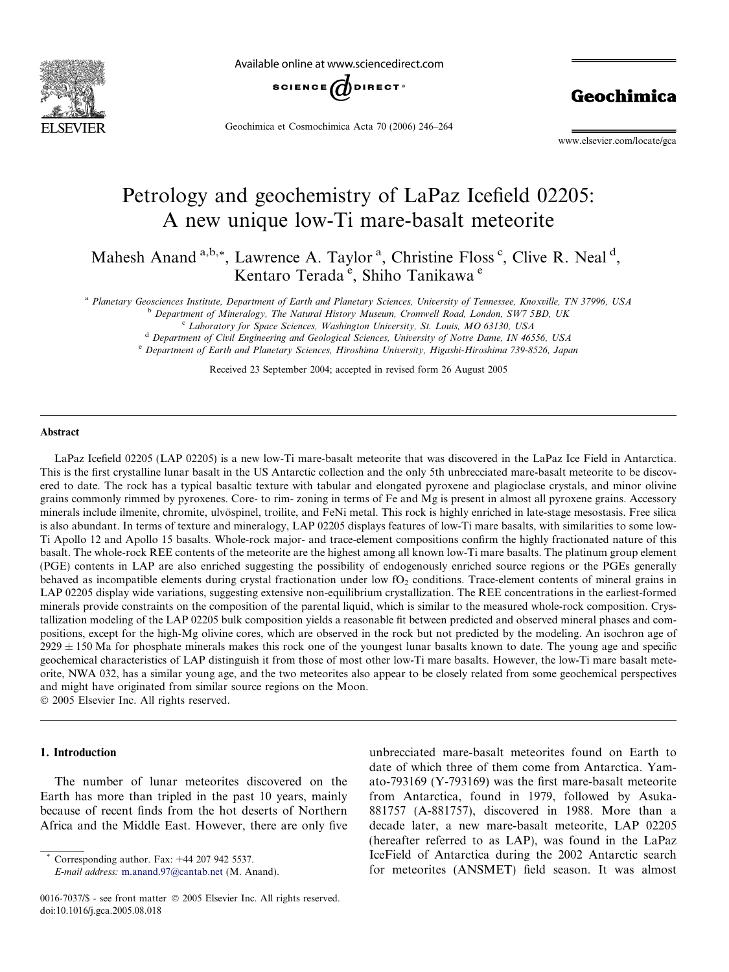

Available online at www.sciencedirect.com



Geochimica et Cosmochimica Acta 70 (2006) 246–264

Geochimica

www.elsevier.com/locate/gca

# Petrology and geochemistry of LaPaz Icefield 02205: A new unique low-Ti mare-basalt meteorite

Mahesh Anand <sup>a,b,\*</sup>, Lawrence A. Taylor <sup>a</sup>, Christine Floss <sup>c</sup>, Clive R. Neal <sup>d</sup>, Kentaro Terada<sup>e</sup>, Shiho Tanikawa<sup>e</sup>

a Planetary Geosciences Institute, Department of Earth and Planetary Sciences, University of Tennessee, Knoxville, TN 37996, USA

<sup>b</sup> Department of Mineralogy, The Natural History Museum, Cromwell Road, London, SW7 5BD, UK

<sup>c</sup> Laboratory for Space Sciences, Washington University, St. Louis, MO 63130, USA

<sup>d</sup> Department of Civil Engineering and Geological Sciences, University of Notre Dame, IN 46556, USA

e Department of Earth and Planetary Sciences, Hiroshima University, Higashi-Hiroshima 739-8526, Japan

Received 23 September 2004; accepted in revised form 26 August 2005

#### **Abstract**

LaPaz Icefield 02205 (LAP 02205) is a new low-Ti mare-basalt meteorite that was discovered in the LaPaz Ice Field in Antarctica. This is the first crystalline lunar basalt in the US Antarctic collection and the only 5th unbrecciated mare-basalt meteorite to be discovered to date. The rock has a typical basaltic texture with tabular and elongated pyroxene and plagioclase crystals, and minor olivine grains commonly rimmed by pyroxenes. Core- to rim- zoning in terms of Fe and Mg is present in almost all pyroxene grains. Accessory minerals include ilmenite, chromite, ulvöspinel, troilite, and FeNi metal. This rock is highly enriched in late-stage mesostasis. Free silica is also abundant. In terms of texture and mineralogy, LAP 02205 displays features of low-Ti mare basalts, with similarities to some low-Ti Apollo 12 and Apollo 15 basalts. Whole-rock major- and trace-element compositions confirm the highly fractionated nature of this basalt. The whole-rock REE contents of the meteorite are the highest among all known low-Ti mare basalts. The platinum group element (PGE) contents in LAP are also enriched suggesting the possibility of endogenously enriched source regions or the PGEs generally behaved as incompatible elements during crystal fractionation under low  $fO<sub>2</sub>$  conditions. Trace-element contents of mineral grains in LAP 02205 display wide variations, suggesting extensive non-equilibrium crystallization. The REE concentrations in the earliest-formed minerals provide constraints on the composition of the parental liquid, which is similar to the measured whole-rock composition. Crystallization modeling of the LAP 02205 bulk composition yields a reasonable fit between predicted and observed mineral phases and compositions, except for the high-Mg olivine cores, which are observed in the rock but not predicted by the modeling. An isochron age of  $2929 \pm 150$  Ma for phosphate minerals makes this rock one of the youngest lunar basalts known to date. The young age and specific geochemical characteristics of LAP distinguish it from those of most other low-Ti mare basalts. However, the low-Ti mare basalt meteorite, NWA 032, has a similar young age, and the two meteorites also appear to be closely related from some geochemical perspectives and might have originated from similar source regions on the Moon.

2005 Elsevier Inc. All rights reserved.

## 1. Introduction

The number of lunar meteorites discovered on the Earth has more than tripled in the past 10 years, mainly because of recent finds from the hot deserts of Northern Africa and the Middle East. However, there are only five

Corresponding author. Fax:  $+44$  207 942 5537.

E-mail address: [m.anand.97@cantab.net](mailto:m.anand.97@cantab.net) (M. Anand).

unbrecciated mare-basalt meteorites found on Earth to date of which three of them come from Antarctica. Yamato-793169 (Y-793169) was the first mare-basalt meteorite from Antarctica, found in 1979, followed by Asuka-881757 (A-881757), discovered in 1988. More than a decade later, a new mare-basalt meteorite, LAP 02205 (hereafter referred to as LAP), was found in the LaPaz IceField of Antarctica during the 2002 Antarctic search for meteorites (ANSMET) field season. It was almost

<sup>0016-7037/\$ -</sup> see front matter © 2005 Elsevier Inc. All rights reserved. doi:10.1016/j.gca.2005.08.018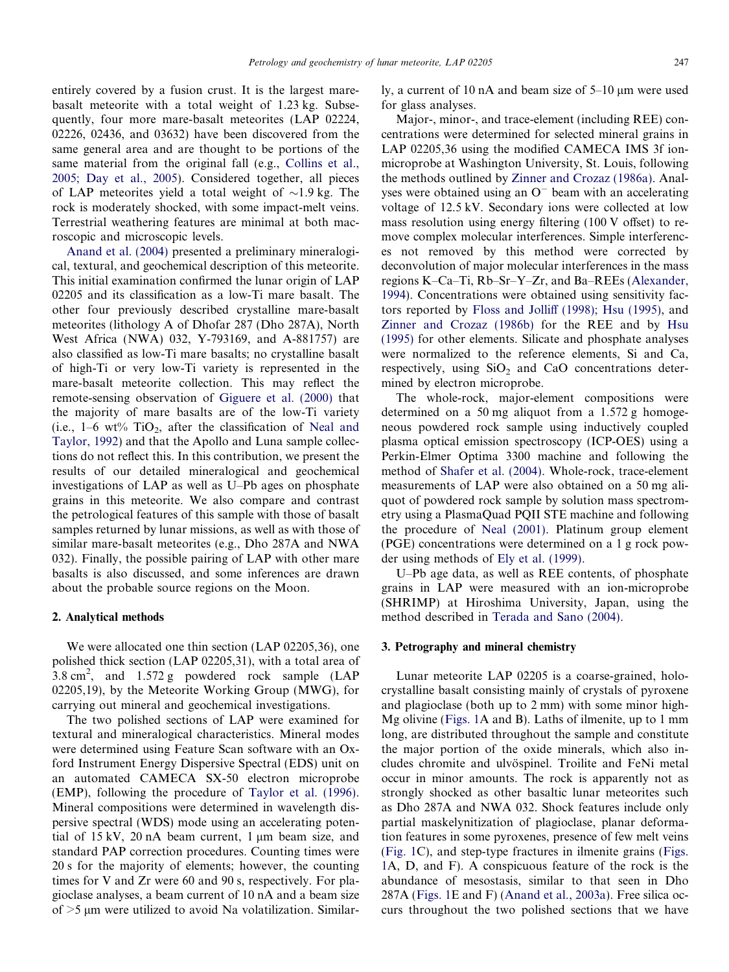entirely covered by a fusion crust. It is the largest marebasalt meteorite with a total weight of 1.23 kg. Subsequently, four more mare-basalt meteorites (LAP 02224, 02226, 02436, and 03632) have been discovered from the same general area and are thought to be portions of the same material from the original fall (e.g., [Collins et al.,](#page-16-0) [2005; Day et al., 2005\)](#page-16-0). Considered together, all pieces of LAP meteorites yield a total weight of  $\sim$ 1.9 kg. The rock is moderately shocked, with some impact-melt veins. Terrestrial weathering features are minimal at both macroscopic and microscopic levels.

[Anand et al. \(2004\)](#page-16-0) presented a preliminary mineralogical, textural, and geochemical description of this meteorite. This initial examination confirmed the lunar origin of LAP 02205 and its classification as a low-Ti mare basalt. The other four previously described crystalline mare-basalt meteorites (lithology A of Dhofar 287 (Dho 287A), North West Africa (NWA) 032, Y-793169, and A-881757) are also classified as low-Ti mare basalts; no crystalline basalt of high-Ti or very low-Ti variety is represented in the mare-basalt meteorite collection. This may reflect the remote-sensing observation of [Giguere et al. \(2000\)](#page-17-0) that the majority of mare basalts are of the low-Ti variety (i.e.,  $1-6 \text{ wt\%}$  TiO<sub>2</sub>, after the classification of [Neal and](#page-17-0) [Taylor, 1992\)](#page-17-0) and that the Apollo and Luna sample collections do not reflect this. In this contribution, we present the results of our detailed mineralogical and geochemical investigations of LAP as well as U–Pb ages on phosphate grains in this meteorite. We also compare and contrast the petrological features of this sample with those of basalt samples returned by lunar missions, as well as with those of similar mare-basalt meteorites (e.g., Dho 287A and NWA 032). Finally, the possible pairing of LAP with other mare basalts is also discussed, and some inferences are drawn about the probable source regions on the Moon.

#### 2. Analytical methods

We were allocated one thin section (LAP 02205,36), one polished thick section (LAP 02205,31), with a total area of  $3.8 \text{ cm}^2$ , and  $1.572 \text{ g}$  powdered rock sample (LAP 02205,19), by the Meteorite Working Group (MWG), for carrying out mineral and geochemical investigations.

The two polished sections of LAP were examined for textural and mineralogical characteristics. Mineral modes were determined using Feature Scan software with an Oxford Instrument Energy Dispersive Spectral (EDS) unit on an automated CAMECA SX-50 electron microprobe (EMP), following the procedure of [Taylor et al. \(1996\).](#page-18-0) Mineral compositions were determined in wavelength dispersive spectral (WDS) mode using an accelerating potential of  $15 \text{ kV}$ ,  $20 \text{ nA}$  beam current, 1  $\mu$ m beam size, and standard PAP correction procedures. Counting times were 20 s for the majority of elements; however, the counting times for V and Zr were 60 and 90 s, respectively. For plagioclase analyses, a beam current of 10 nA and a beam size of  $>5$  µm were utilized to avoid Na volatilization. Similarly, a current of 10 nA and beam size of  $5-10 \mu m$  were used for glass analyses.

Major-, minor-, and trace-element (including REE) concentrations were determined for selected mineral grains in LAP 02205,36 using the modified CAMECA IMS 3f ionmicroprobe at Washington University, St. Louis, following the methods outlined by [Zinner and Crozaz \(1986a\).](#page-18-0) Analyses were obtained using an  $O^-$  beam with an accelerating voltage of 12.5 kV. Secondary ions were collected at low mass resolution using energy filtering (100 V offset) to remove complex molecular interferences. Simple interferences not removed by this method were corrected by deconvolution of major molecular interferences in the mass regions K–Ca–Ti, Rb–Sr–Y–Zr, and Ba–REEs ([Alexander,](#page-16-0) [1994](#page-16-0)). Concentrations were obtained using sensitivity factors reported by [Floss and Jolliff \(1998\); Hsu \(1995\)](#page-17-0), and [Zinner and Crozaz \(1986b\)](#page-18-0) for the REE and by [Hsu](#page-17-0) [\(1995\)](#page-17-0) for other elements. Silicate and phosphate analyses were normalized to the reference elements, Si and Ca, respectively, using  $SiO<sub>2</sub>$  and CaO concentrations determined by electron microprobe.

The whole-rock, major-element compositions were determined on a 50 mg aliquot from a 1.572 g homogeneous powdered rock sample using inductively coupled plasma optical emission spectroscopy (ICP-OES) using a Perkin-Elmer Optima 3300 machine and following the method of [Shafer et al. \(2004\).](#page-18-0) Whole-rock, trace-element measurements of LAP were also obtained on a 50 mg aliquot of powdered rock sample by solution mass spectrometry using a PlasmaQuad PQII STE machine and following the procedure of [Neal \(2001\).](#page-17-0) Platinum group element (PGE) concentrations were determined on a 1 g rock powder using methods of [Ely et al. \(1999\)](#page-17-0).

U–Pb age data, as well as REE contents, of phosphate grains in LAP were measured with an ion-microprobe (SHRIMP) at Hiroshima University, Japan, using the method described in [Terada and Sano \(2004\).](#page-18-0)

#### 3. Petrography and mineral chemistry

Lunar meteorite LAP 02205 is a coarse-grained, holocrystalline basalt consisting mainly of crystals of pyroxene and plagioclase (both up to 2 mm) with some minor high-Mg olivine [\(Figs. 1A](#page-2-0) and B). Laths of ilmenite, up to 1 mm long, are distributed throughout the sample and constitute the major portion of the oxide minerals, which also includes chromite and ulvöspinel. Troilite and FeNi metal occur in minor amounts. The rock is apparently not as strongly shocked as other basaltic lunar meteorites such as Dho 287A and NWA 032. Shock features include only partial maskelynitization of plagioclase, planar deformation features in some pyroxenes, presence of few melt veins ([Fig. 1](#page-2-0)C), and step-type fractures in ilmenite grains ([Figs.](#page-2-0) [1A](#page-2-0), D, and F). A conspicuous feature of the rock is the abundance of mesostasis, similar to that seen in Dho 287A [\(Figs. 1E](#page-2-0) and F) [\(Anand et al., 2003a](#page-16-0)). Free silica occurs throughout the two polished sections that we have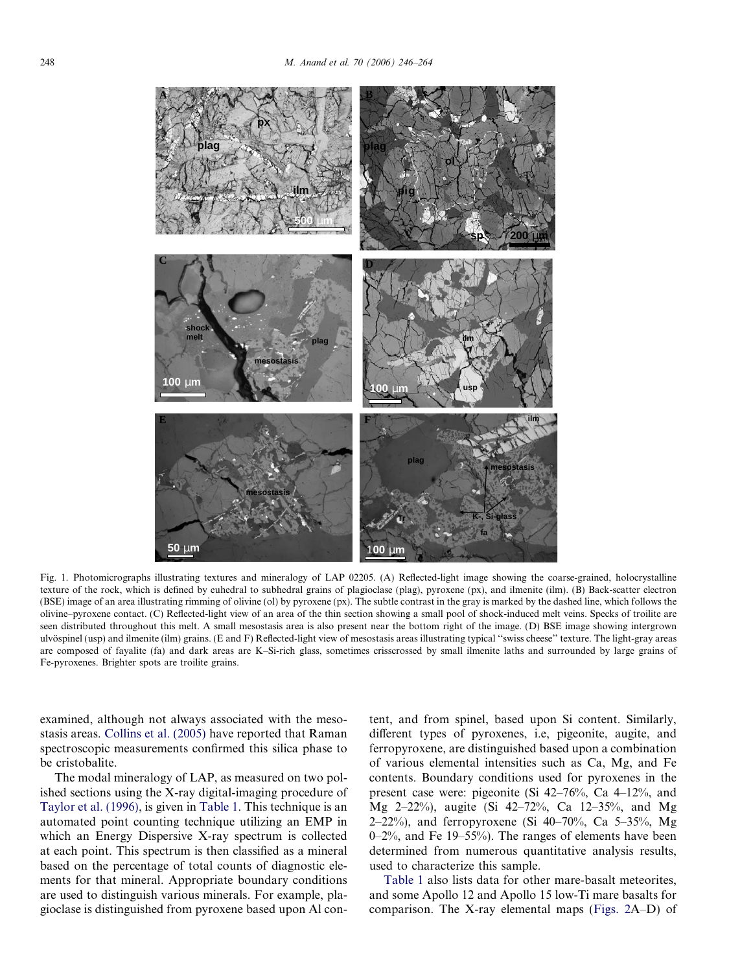<span id="page-2-0"></span>

Fig. 1. Photomicrographs illustrating textures and mineralogy of LAP 02205. (A) Reflected-light image showing the coarse-grained, holocrystalline texture of the rock, which is defined by euhedral to subhedral grains of plagioclase (plag), pyroxene (px), and ilmenite (ilm). (B) Back-scatter electron (BSE) image of an area illustrating rimming of olivine (ol) by pyroxene (px). The subtle contrast in the gray is marked by the dashed line, which follows the olivine–pyroxene contact. (C) Reflected-light view of an area of the thin section showing a small pool of shock-induced melt veins. Specks of troilite are seen distributed throughout this melt. A small mesostasis area is also present near the bottom right of the image. (D) BSE image showing intergrown ulvöspinel (usp) and ilmenite (ilm) grains. (E and F) Reflected-light view of mesostasis areas illustrating typical "swiss cheese" texture. The light-gray areas are composed of fayalite (fa) and dark areas are K–Si-rich glass, sometimes crisscrossed by small ilmenite laths and surrounded by large grains of Fe-pyroxenes. Brighter spots are troilite grains.

examined, although not always associated with the mesostasis areas. [Collins et al. \(2005\)](#page-16-0) have reported that Raman spectroscopic measurements confirmed this silica phase to be cristobalite.

The modal mineralogy of LAP, as measured on two polished sections using the X-ray digital-imaging procedure of [Taylor et al. \(1996\)](#page-18-0), is given in [Table 1.](#page-3-0) This technique is an automated point counting technique utilizing an EMP in which an Energy Dispersive X-ray spectrum is collected at each point. This spectrum is then classified as a mineral based on the percentage of total counts of diagnostic elements for that mineral. Appropriate boundary conditions are used to distinguish various minerals. For example, plagioclase is distinguished from pyroxene based upon Al content, and from spinel, based upon Si content. Similarly, different types of pyroxenes, i.e, pigeonite, augite, and ferropyroxene, are distinguished based upon a combination of various elemental intensities such as Ca, Mg, and Fe contents. Boundary conditions used for pyroxenes in the present case were: pigeonite (Si 42–76%, Ca 4–12%, and Mg 2–22%), augite (Si 42–72%, Ca 12–35%, and Mg 2–22%), and ferropyroxene (Si  $40-70\%$ , Ca 5–35%, Mg 0–2%, and Fe 19–55%). The ranges of elements have been determined from numerous quantitative analysis results, used to characterize this sample.

[Table 1](#page-3-0) also lists data for other mare-basalt meteorites, and some Apollo 12 and Apollo 15 low-Ti mare basalts for comparison. The X-ray elemental maps ([Figs. 2](#page-4-0)A–D) of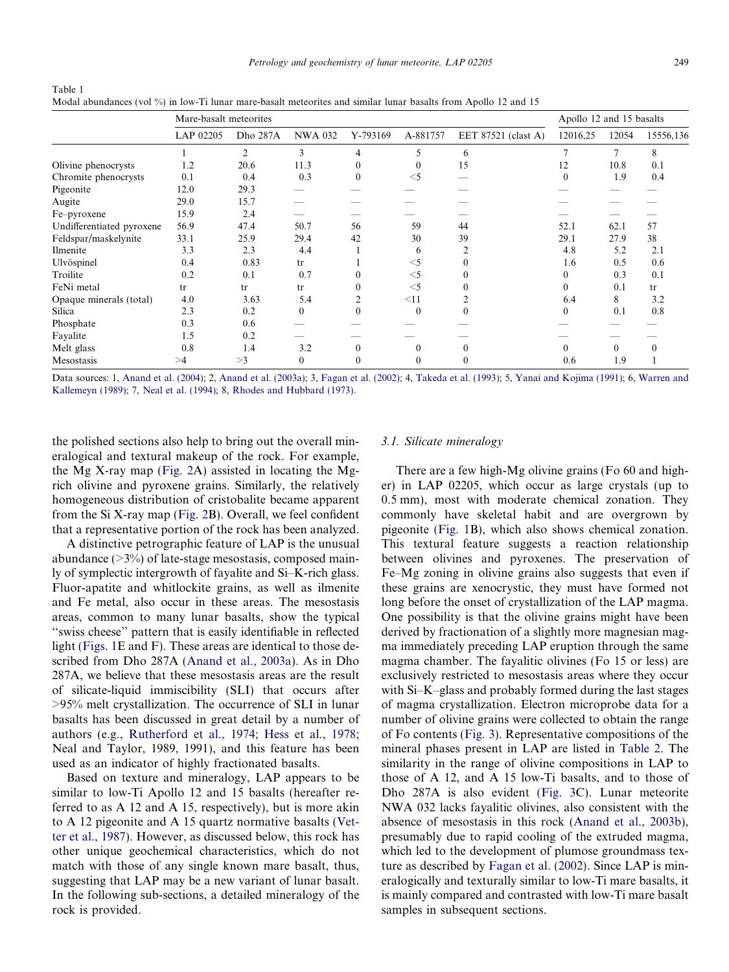<span id="page-3-0"></span>Table 1 Modal abundances (vol %) in low-Ti lunar mare-basalt meteorites and similar lunar basalts from Apollo 12 and 15

|                           | Mare-basalt meteorites |          |                |                |          |                     | Apollo 12 and 15 basalts |          |           |  |
|---------------------------|------------------------|----------|----------------|----------------|----------|---------------------|--------------------------|----------|-----------|--|
|                           | LAP 02205              | Dho 287A | <b>NWA 032</b> | Y-793169       | A-881757 | EET 87521 (clast A) | 12016,25                 | 12054    | 15556,136 |  |
|                           |                        | 2        | 3              | 4              | 5        | 6                   | 7                        | 7        | 8         |  |
| Olivine phenocrysts       | 1.2                    | 20.6     | 11.3           | $\theta$       | $\theta$ | 15                  | 12                       | 10.8     | 0.1       |  |
| Chromite phenocrysts      | 0.1                    | 0.4      | 0.3            | $\theta$       | $<$ 5    |                     | $\theta$                 | 1.9      | 0.4       |  |
| Pigeonite                 | 12.0                   | 29.3     |                |                |          |                     |                          |          |           |  |
| Augite                    | 29.0                   | 15.7     |                |                |          |                     |                          |          |           |  |
| Fe-pyroxene               | 15.9                   | 2.4      |                |                |          |                     |                          |          |           |  |
| Undifferentiated pyroxene | 56.9                   | 47.4     | 50.7           | 56             | 59       | 44                  | 52.1                     | 62.1     | 57        |  |
| Feldspar/maskelynite      | 33.1                   | 25.9     | 29.4           | 42             | 30       | 39                  | 29.1                     | 27.9     | 38        |  |
| Ilmenite                  | 3.3                    | 2.3      | 4.4            |                | 6        |                     | 4.8                      | 5.2      | 2.1       |  |
| Ulvöspinel                | 0.4                    | 0.83     | tr             |                | $<$ 5    |                     | 1.6                      | 0.5      | 0.6       |  |
| Troilite                  | 0.2                    | 0.1      | 0.7            | $\theta$       | $<$ 5    |                     | $\overline{0}$           | 0.3      | 0.1       |  |
| FeNi metal                | tr                     | tr       | tr             | $\theta$       | $<$ 5    |                     | 0                        | 0.1      | tr        |  |
| Opaque minerals (total)   | 4.0                    | 3.63     | 5.4            | $\overline{c}$ | <11      |                     | 6.4                      | 8        | 3.2       |  |
| Silica                    | 2.3                    | 0.2      | $\Omega$       | $\theta$       | $\theta$ | $\theta$            | $\theta$                 | 0.1      | 0.8       |  |
| Phosphate                 | 0.3                    | 0.6      |                |                |          |                     |                          |          |           |  |
| Fayalite                  | 1.5                    | 0.2      |                |                |          |                     |                          |          |           |  |
| Melt glass                | 0.8                    | 1.4      | 3.2            | 0              |          |                     | $\Omega$                 | $\Omega$ | $\Omega$  |  |
| Mesostasis                | >1                     | >3       | $\Omega$       | 0              | 0        | $\theta$            | 0.6                      | 1.9      |           |  |

Data sources: 1, [Anand et al. \(2004\)](#page-16-0); 2, [Anand et al. \(2003a\)](#page-16-0); 3, [Fagan et al. \(2002\);](#page-17-0) 4, [Takeda et al. \(1993\);](#page-18-0) 5, [Yanai and Kojima \(1991\);](#page-18-0) 6, [Warren and](#page-18-0) [Kallemeyn \(1989\)](#page-18-0); 7, [Neal et al. \(1994\)](#page-17-0); 8, [Rhodes and Hubbard \(1973\).](#page-18-0)

the polished sections also help to bring out the overall mineralogical and textural makeup of the rock. For example, the Mg X-ray map [\(Fig. 2A](#page-4-0)) assisted in locating the Mgrich olivine and pyroxene grains. Similarly, the relatively homogeneous distribution of cristobalite became apparent from the Si X-ray map [\(Fig. 2](#page-4-0)B). Overall, we feel confident that a representative portion of the rock has been analyzed.

A distinctive petrographic feature of LAP is the unusual abundance  $(>=3\%)$  of late-stage mesostasis, composed mainly of symplectic intergrowth of fayalite and Si–K-rich glass. Fluor-apatite and whitlockite grains, as well as ilmenite and Fe metal, also occur in these areas. The mesostasis areas, common to many lunar basalts, show the typical ''swiss cheese'' pattern that is easily identifiable in reflected light [\(Figs. 1E](#page-2-0) and F). These areas are identical to those described from Dho 287A ([Anand et al., 2003a](#page-16-0)). As in Dho 287A, we believe that these mesostasis areas are the result of silicate-liquid immiscibility (SLI) that occurs after >95% melt crystallization. The occurrence of SLI in lunar basalts has been discussed in great detail by a number of authors (e.g., [Rutherford et al., 1974; Hess et al., 1978;](#page-18-0) Neal and Taylor, 1989, 1991), and this feature has been used as an indicator of highly fractionated basalts.

Based on texture and mineralogy, LAP appears to be similar to low-Ti Apollo 12 and 15 basalts (hereafter referred to as A 12 and A 15, respectively), but is more akin to A 12 pigeonite and A 15 quartz normative basalts [\(Vet](#page-18-0)[ter et al., 1987\)](#page-18-0). However, as discussed below, this rock has other unique geochemical characteristics, which do not match with those of any single known mare basalt, thus, suggesting that LAP may be a new variant of lunar basalt. In the following sub-sections, a detailed mineralogy of the rock is provided.

# 3.1. Silicate mineralogy

There are a few high-Mg olivine grains (Fo 60 and higher) in LAP 02205, which occur as large crystals (up to 0.5 mm), most with moderate chemical zonation. They commonly have skeletal habit and are overgrown by pigeonite ([Fig. 1B](#page-2-0)), which also shows chemical zonation. This textural feature suggests a reaction relationship between olivines and pyroxenes. The preservation of Fe–Mg zoning in olivine grains also suggests that even if these grains are xenocrystic, they must have formed not long before the onset of crystallization of the LAP magma. One possibility is that the olivine grains might have been derived by fractionation of a slightly more magnesian magma immediately preceding LAP eruption through the same magma chamber. The fayalitic olivines (Fo 15 or less) are exclusively restricted to mesostasis areas where they occur with Si–K–glass and probably formed during the last stages of magma crystallization. Electron microprobe data for a number of olivine grains were collected to obtain the range of Fo contents ([Fig. 3](#page-5-0)). Representative compositions of the mineral phases present in LAP are listed in [Table 2](#page-6-0). The similarity in the range of olivine compositions in LAP to those of A 12, and A 15 low-Ti basalts, and to those of Dho 287A is also evident [\(Fig. 3](#page-5-0)C). Lunar meteorite NWA 032 lacks fayalitic olivines, also consistent with the absence of mesostasis in this rock ([Anand et al., 2003b](#page-16-0)), presumably due to rapid cooling of the extruded magma, which led to the development of plumose groundmass texture as described by [Fagan et al. \(2002\)](#page-17-0). Since LAP is mineralogically and texturally similar to low-Ti mare basalts, it is mainly compared and contrasted with low-Ti mare basalt samples in subsequent sections.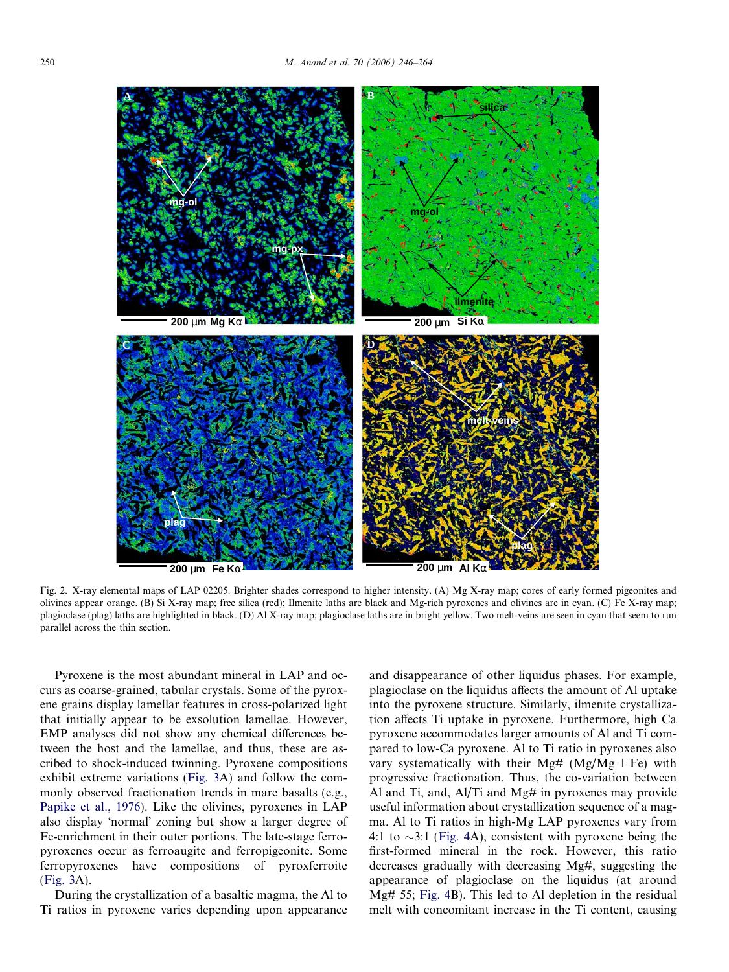<span id="page-4-0"></span>

Fig. 2. X-ray elemental maps of LAP 02205. Brighter shades correspond to higher intensity. (A) Mg X-ray map; cores of early formed pigeonites and olivines appear orange. (B) Si X-ray map; free silica (red); Ilmenite laths are black and Mg-rich pyroxenes and olivines are in cyan. (C) Fe X-ray map; plagioclase (plag) laths are highlighted in black. (D) Al X-ray map; plagioclase laths are in bright yellow. Two melt-veins are seen in cyan that seem to run parallel across the thin section.

Pyroxene is the most abundant mineral in LAP and occurs as coarse-grained, tabular crystals. Some of the pyroxene grains display lamellar features in cross-polarized light that initially appear to be exsolution lamellae. However, EMP analyses did not show any chemical differences between the host and the lamellae, and thus, these are ascribed to shock-induced twinning. Pyroxene compositions exhibit extreme variations [\(Fig. 3](#page-5-0)A) and follow the commonly observed fractionation trends in mare basalts (e.g., [Papike et al., 1976\)](#page-17-0). Like the olivines, pyroxenes in LAP also display 'normal' zoning but show a larger degree of Fe-enrichment in their outer portions. The late-stage ferropyroxenes occur as ferroaugite and ferropigeonite. Some ferropyroxenes have compositions of pyroxferroite [\(Fig. 3](#page-5-0)A).

During the crystallization of a basaltic magma, the Al to Ti ratios in pyroxene varies depending upon appearance and disappearance of other liquidus phases. For example, plagioclase on the liquidus affects the amount of Al uptake into the pyroxene structure. Similarly, ilmenite crystallization affects Ti uptake in pyroxene. Furthermore, high Ca pyroxene accommodates larger amounts of Al and Ti compared to low-Ca pyroxene. Al to Ti ratio in pyroxenes also vary systematically with their Mg#  $(Mg/Mg + Fe)$  with progressive fractionation. Thus, the co-variation between Al and Ti, and, Al/Ti and Mg# in pyroxenes may provide useful information about crystallization sequence of a magma. Al to Ti ratios in high-Mg LAP pyroxenes vary from 4:1 to  $\sim$ 3:1 [\(Fig. 4A](#page-7-0)), consistent with pyroxene being the first-formed mineral in the rock. However, this ratio decreases gradually with decreasing Mg#, suggesting the appearance of plagioclase on the liquidus (at around Mg# 55; [Fig. 4](#page-7-0)B). This led to Al depletion in the residual melt with concomitant increase in the Ti content, causing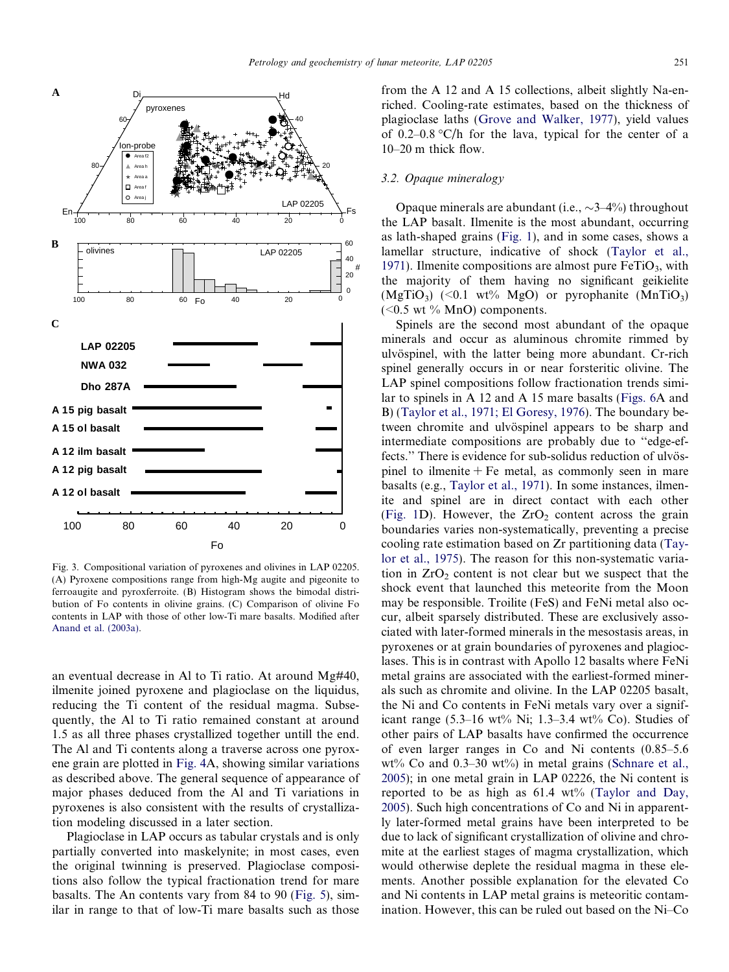<span id="page-5-0"></span>

Fig. 3. Compositional variation of pyroxenes and olivines in LAP 02205. (A) Pyroxene compositions range from high-Mg augite and pigeonite to ferroaugite and pyroxferroite. (B) Histogram shows the bimodal distribution of Fo contents in olivine grains. (C) Comparison of olivine Fo contents in LAP with those of other low-Ti mare basalts. Modified after [Anand et al. \(2003a\)](#page-16-0).

an eventual decrease in Al to Ti ratio. At around Mg#40, ilmenite joined pyroxene and plagioclase on the liquidus, reducing the Ti content of the residual magma. Subsequently, the Al to Ti ratio remained constant at around 1.5 as all three phases crystallized together untill the end. The Al and Ti contents along a traverse across one pyroxene grain are plotted in [Fig. 4](#page-7-0)A, showing similar variations as described above. The general sequence of appearance of major phases deduced from the Al and Ti variations in pyroxenes is also consistent with the results of crystallization modeling discussed in a later section.

Plagioclase in LAP occurs as tabular crystals and is only partially converted into maskelynite; in most cases, even the original twinning is preserved. Plagioclase compositions also follow the typical fractionation trend for mare basalts. The An contents vary from 84 to 90 ([Fig. 5](#page-7-0)), similar in range to that of low-Ti mare basalts such as those

from the A 12 and A 15 collections, albeit slightly Na-enriched. Cooling-rate estimates, based on the thickness of plagioclase laths ([Grove and Walker, 1977\)](#page-17-0), yield values of 0.2–0.8  $\degree$ C/h for the lava, typical for the center of a 10–20 m thick flow.

## 3.2. Opaque mineralogy

Opaque minerals are abundant (i.e.,  $\sim$ 3–4%) throughout the LAP basalt. Ilmenite is the most abundant, occurring as lath-shaped grains [\(Fig. 1\)](#page-2-0), and in some cases, shows a lamellar structure, indicative of shock [\(Taylor et al.,](#page-18-0) [1971](#page-18-0)). Ilmenite compositions are almost pure  $FeTiO<sub>3</sub>$ , with the majority of them having no significant geikielite  $(MgTiO<sub>3</sub>)$  (<0.1 wt% MgO) or pyrophanite  $(MnTiO<sub>3</sub>)$  $(<0.5$  wt % MnO) components.

Spinels are the second most abundant of the opaque minerals and occur as aluminous chromite rimmed by ulvöspinel, with the latter being more abundant. Cr-rich spinel generally occurs in or near forsteritic olivine. The LAP spinel compositions follow fractionation trends similar to spinels in A 12 and A 15 mare basalts ([Figs. 6A](#page-8-0) and B) [\(Taylor et al., 1971; El Goresy, 1976\)](#page-18-0). The boundary between chromite and ulvöspinel appears to be sharp and intermediate compositions are probably due to ''edge-effects." There is evidence for sub-solidus reduction of ulvöspinel to ilmenite  $+$  Fe metal, as commonly seen in mare basalts (e.g., [Taylor et al., 1971\)](#page-18-0). In some instances, ilmenite and spinel are in direct contact with each other ([Fig. 1](#page-2-0)D). However, the  $ZrO<sub>2</sub>$  content across the grain boundaries varies non-systematically, preventing a precise cooling rate estimation based on Zr partitioning data ([Tay](#page-18-0)[lor et al., 1975\)](#page-18-0). The reason for this non-systematic variation in  $ZrO<sub>2</sub>$  content is not clear but we suspect that the shock event that launched this meteorite from the Moon may be responsible. Troilite (FeS) and FeNi metal also occur, albeit sparsely distributed. These are exclusively associated with later-formed minerals in the mesostasis areas, in pyroxenes or at grain boundaries of pyroxenes and plagioclases. This is in contrast with Apollo 12 basalts where FeNi metal grains are associated with the earliest-formed minerals such as chromite and olivine. In the LAP 02205 basalt, the Ni and Co contents in FeNi metals vary over a significant range  $(5.3-16 \text{ wt\% Ni}; 1.3-3.4 \text{ wt\% Co})$ . Studies of other pairs of LAP basalts have confirmed the occurrence of even larger ranges in Co and Ni contents (0.85–5.6 wt% Co and  $0.3-30$  wt%) in metal grains [\(Schnare et al.,](#page-18-0) [2005](#page-18-0)); in one metal grain in LAP 02226, the Ni content is reported to be as high as  $61.4 \text{ wt}$ % [\(Taylor and Day,](#page-18-0) [2005](#page-18-0)). Such high concentrations of Co and Ni in apparently later-formed metal grains have been interpreted to be due to lack of significant crystallization of olivine and chromite at the earliest stages of magma crystallization, which would otherwise deplete the residual magma in these elements. Another possible explanation for the elevated Co and Ni contents in LAP metal grains is meteoritic contamination. However, this can be ruled out based on the Ni–Co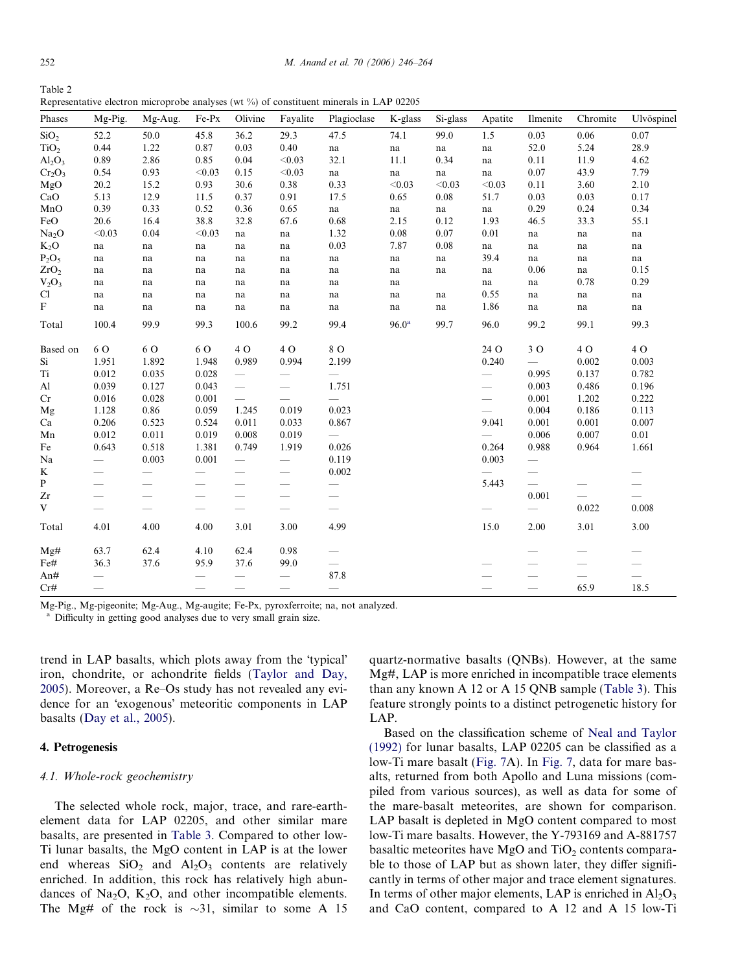<span id="page-6-0"></span> $T = 2$ 

| lable 2                                                                                     |  |  |  |
|---------------------------------------------------------------------------------------------|--|--|--|
| Representative electron microprobe analyses (wt $\%$ ) of constituent minerals in LAP 02205 |  |  |  |

| Phases                    | Mg-Pig.                  | Mg-Aug.                         | Fe-Px                           | Olivine                         | Fayalite                        | Plagioclase                     | $\mathbf{K}\text{-}\mathbf{glass}$ | Si-glass | Apatite                      | Ilmenite                        | Chromite                                                                                                                                                                                                                                                                                                                                                                                      | Ulvöspinel |
|---------------------------|--------------------------|---------------------------------|---------------------------------|---------------------------------|---------------------------------|---------------------------------|------------------------------------|----------|------------------------------|---------------------------------|-----------------------------------------------------------------------------------------------------------------------------------------------------------------------------------------------------------------------------------------------------------------------------------------------------------------------------------------------------------------------------------------------|------------|
| SiO <sub>2</sub>          | 52.2                     | 50.0                            | 45.8                            | 36.2                            | 29.3                            | 47.5                            | 74.1                               | 99.0     | 1.5                          | 0.03                            | $0.06\,$                                                                                                                                                                                                                                                                                                                                                                                      | $0.07\,$   |
| TiO <sub>2</sub>          | 0.44                     | 1.22                            | 0.87                            | 0.03                            | 0.40                            | na                              | $\operatorname{na}$                | na       | na                           | 52.0                            | 5.24                                                                                                                                                                                                                                                                                                                                                                                          | 28.9       |
| $Al_2O_3$                 | 0.89                     | 2.86                            | 0.85                            | 0.04                            | < 0.03                          | 32.1                            | 11.1                               | 0.34     | na                           | 0.11                            | 11.9                                                                                                                                                                                                                                                                                                                                                                                          | 4.62       |
| $Cr_2O_3$                 | 0.54                     | 0.93                            | < 0.03                          | 0.15                            | < 0.03                          | na                              | na                                 | na       | na                           | 0.07                            | 43.9                                                                                                                                                                                                                                                                                                                                                                                          | 7.79       |
| MgO                       | 20.2                     | 15.2                            | 0.93                            | 30.6                            | 0.38                            | 0.33                            | < 0.03                             | < 0.03   | < 0.03                       | 0.11                            | 3.60                                                                                                                                                                                                                                                                                                                                                                                          | 2.10       |
| CaO                       | 5.13                     | 12.9                            | 11.5                            | 0.37                            | 0.91                            | 17.5                            | 0.65                               | 0.08     | 51.7                         | 0.03                            | 0.03                                                                                                                                                                                                                                                                                                                                                                                          | 0.17       |
| MnO                       | 0.39                     | 0.33                            | 0.52                            | 0.36                            | 0.65                            | na                              | na                                 | na       | na                           | 0.29                            | 0.24                                                                                                                                                                                                                                                                                                                                                                                          | 0.34       |
| FeO                       | 20.6                     | 16.4                            | 38.8                            | 32.8                            | 67.6                            | 0.68                            | 2.15                               | 0.12     | 1.93                         | 46.5                            | 33.3                                                                                                                                                                                                                                                                                                                                                                                          | 55.1       |
| Na <sub>2</sub> O         | < 0.03                   | 0.04                            | < 0.03                          | na                              | $\operatorname{na}$             | 1.32                            | 0.08                               | 0.07     | 0.01                         | na                              | na                                                                                                                                                                                                                                                                                                                                                                                            | na         |
| $K_2O$                    | na                       | na                              | na                              | na                              | na                              | 0.03                            | 7.87                               | 0.08     | na                           | na                              | na                                                                                                                                                                                                                                                                                                                                                                                            | na         |
| $P_2O_5$                  | na                       | na                              | na                              | na                              | na                              | na                              | na                                 | na       | 39.4                         | na                              | na                                                                                                                                                                                                                                                                                                                                                                                            | na         |
| ZrO <sub>2</sub>          | na                       | na                              | na                              | na                              | na                              | na                              | na                                 | na       | na                           | 0.06                            | na                                                                                                                                                                                                                                                                                                                                                                                            | 0.15       |
| $V_2O_3$                  | na                       | na                              | na                              | na                              | na                              | na                              | na                                 |          | $\operatorname{na}$          | na                              | 0.78                                                                                                                                                                                                                                                                                                                                                                                          | 0.29       |
| C <sub>1</sub>            | na                       | na                              | na                              | na                              | na                              | na                              | na                                 | na       | 0.55                         | na                              | na                                                                                                                                                                                                                                                                                                                                                                                            | na         |
| $\boldsymbol{\mathrm{F}}$ | na                       | na                              | na                              | na                              | na                              | na                              | na                                 | na       | 1.86                         | na                              | na                                                                                                                                                                                                                                                                                                                                                                                            | na         |
| Total                     | 100.4                    | 99.9                            | 99.3                            | 100.6                           | 99.2                            | 99.4                            | $96.0^{\rm a}$                     | 99.7     | 96.0                         | 99.2                            | 99.1                                                                                                                                                                                                                                                                                                                                                                                          | 99.3       |
| Based on                  | 6 O                      | 6 O                             | 6 O                             | 40                              | 40                              | 8 O                             |                                    |          | 24 O                         | 30                              | 4 O                                                                                                                                                                                                                                                                                                                                                                                           | 4 O        |
| Si                        | 1.951                    | 1.892                           | 1.948                           | 0.989                           | 0.994                           | 2.199                           |                                    |          | 0.240                        |                                 | 0.002                                                                                                                                                                                                                                                                                                                                                                                         | 0.003      |
| Ti                        | 0.012                    | 0.035                           | 0.028                           |                                 |                                 |                                 |                                    |          |                              | 0.995                           | 0.137                                                                                                                                                                                                                                                                                                                                                                                         | 0.782      |
| A <sub>l</sub>            | 0.039                    | 0.127                           | 0.043                           |                                 |                                 | 1.751                           |                                    |          | $\overline{\phantom{0}}$     | 0.003                           | 0.486                                                                                                                                                                                                                                                                                                                                                                                         | 0.196      |
| Cr                        | 0.016                    | 0.028                           | 0.001                           |                                 |                                 | $\overline{\phantom{0}}$        |                                    |          | $\overbrace{\qquad \qquad }$ | 0.001                           | 1.202                                                                                                                                                                                                                                                                                                                                                                                         | 0.222      |
| Mg                        | 1.128                    | 0.86                            | 0.059                           | 1.245                           | 0.019                           | 0.023                           |                                    |          | $\overline{\phantom{0}}$     | 0.004                           | 0.186                                                                                                                                                                                                                                                                                                                                                                                         | 0.113      |
| Ca                        | 0.206                    | 0.523                           | 0.524                           | 0.011                           | 0.033                           | 0.867                           |                                    |          | 9.041                        | 0.001                           | 0.001                                                                                                                                                                                                                                                                                                                                                                                         | 0.007      |
| Mn                        | 0.012                    | 0.011                           | 0.019                           | 0.008                           | 0.019                           |                                 |                                    |          | $\overline{\phantom{0}}$     | 0.006                           | 0.007                                                                                                                                                                                                                                                                                                                                                                                         | $0.01\,$   |
| Fe                        | 0.643                    | 0.518                           | 1.381                           | 0.749                           | 1.919                           | 0.026                           |                                    |          | 0.264                        | 0.988                           | 0.964                                                                                                                                                                                                                                                                                                                                                                                         | 1.661      |
| Na                        |                          | 0.003                           | 0.001                           |                                 |                                 | 0.119                           |                                    |          | 0.003                        |                                 |                                                                                                                                                                                                                                                                                                                                                                                               |            |
| K                         | $\overline{\phantom{0}}$ |                                 |                                 |                                 | $\overline{\phantom{0}}$        | 0.002                           |                                    |          |                              |                                 |                                                                                                                                                                                                                                                                                                                                                                                               |            |
| P                         | $\overline{\phantom{0}}$ | $\overbrace{\phantom{12333}}$   |                                 |                                 |                                 |                                 |                                    |          | 5.443                        | $\overline{\phantom{0}}$        |                                                                                                                                                                                                                                                                                                                                                                                               |            |
| Zr                        | $\overline{\phantom{0}}$ |                                 | $\overline{\phantom{0}}$        | $\overbrace{\qquad \qquad }^{}$ | $\overbrace{\qquad \qquad }^{}$ | $\overbrace{\qquad \qquad }^{}$ |                                    |          |                              | 0.001                           |                                                                                                                                                                                                                                                                                                                                                                                               |            |
| V                         |                          | $\hspace{0.1mm}-\hspace{0.1mm}$ | $\hspace{0.1mm}-\hspace{0.1mm}$ | $\hspace{0.1mm}-\hspace{0.1mm}$ | $\overbrace{\qquad \qquad }^{}$ |                                 |                                    |          | $\overline{\phantom{0}}$     |                                 | 0.022                                                                                                                                                                                                                                                                                                                                                                                         | 0.008      |
| Total                     | 4.01                     | 4.00                            | 4.00                            | 3.01                            | 3.00                            | 4.99                            |                                    |          | 15.0                         | 2.00                            | 3.01                                                                                                                                                                                                                                                                                                                                                                                          | 3.00       |
| Mg#                       | 63.7                     | 62.4                            | 4.10                            | 62.4                            | 0.98                            | $\overline{\phantom{0}}$        |                                    |          |                              |                                 |                                                                                                                                                                                                                                                                                                                                                                                               |            |
| Fe#                       | 36.3                     | 37.6                            | 95.9                            | 37.6                            | 99.0                            | $\overline{\phantom{0}}$        |                                    |          |                              |                                 | $\hspace{1.0cm} \overline{\hspace{1.0cm} \hspace{1.0cm} \hspace{1.0cm} } \hspace{1.0cm} \hspace{1.0cm} \overline{\hspace{1.0cm} \hspace{1.0cm} \hspace{1.0cm} } \hspace{1.0cm} \hspace{1.0cm} \overline{\hspace{1.0cm} \hspace{1.0cm} \hspace{1.0cm} } \hspace{1.0cm} \hspace{1.0cm} \overline{\hspace{1.0cm} \hspace{1.0cm} \hspace{1.0cm} } \hspace{1.0cm} \hspace{1.0cm} \hspace{1.0cm} }$ |            |
| An#                       |                          |                                 |                                 | $\overbrace{\phantom{12333}}$   |                                 | 87.8                            |                                    |          |                              |                                 |                                                                                                                                                                                                                                                                                                                                                                                               |            |
| Cr#                       |                          |                                 |                                 |                                 |                                 |                                 |                                    |          | $\overline{\phantom{0}}$     | $\overbrace{\qquad \qquad }^{}$ | 65.9                                                                                                                                                                                                                                                                                                                                                                                          | 18.5       |

Mg-Pig., Mg-pigeonite; Mg-Aug., Mg-augite; Fe-Px, pyroxferroite; na, not analyzed.

<sup>a</sup> Difficulty in getting good analyses due to very small grain size.

trend in LAP basalts, which plots away from the 'typical' iron, chondrite, or achondrite fields [\(Taylor and Day,](#page-18-0) [2005\)](#page-18-0). Moreover, a Re–Os study has not revealed any evidence for an 'exogenous' meteoritic components in LAP basalts ([Day et al., 2005](#page-17-0)).

## 4. Petrogenesis

## 4.1. Whole-rock geochemistry

The selected whole rock, major, trace, and rare-earthelement data for LAP 02205, and other similar mare basalts, are presented in [Table 3.](#page-9-0) Compared to other low-Ti lunar basalts, the MgO content in LAP is at the lower end whereas  $SiO<sub>2</sub>$  and  $Al<sub>2</sub>O<sub>3</sub>$  contents are relatively enriched. In addition, this rock has relatively high abundances of  $Na<sub>2</sub>O$ ,  $K<sub>2</sub>O$ , and other incompatible elements. The Mg# of the rock is  $\sim$ 31, similar to some A 15 quartz-normative basalts (QNBs). However, at the same Mg#, LAP is more enriched in incompatible trace elements than any known A 12 or A 15 QNB sample [\(Table 3](#page-9-0)). This feature strongly points to a distinct petrogenetic history for LAP.

Based on the classification scheme of [Neal and Taylor](#page-17-0) [\(1992\)](#page-17-0) for lunar basalts, LAP 02205 can be classified as a low-Ti mare basalt ([Fig. 7A](#page-10-0)). In [Fig. 7,](#page-10-0) data for mare basalts, returned from both Apollo and Luna missions (compiled from various sources), as well as data for some of the mare-basalt meteorites, are shown for comparison. LAP basalt is depleted in MgO content compared to most low-Ti mare basalts. However, the Y-793169 and A-881757 basaltic meteorites have MgO and  $TiO<sub>2</sub>$  contents comparable to those of LAP but as shown later, they differ significantly in terms of other major and trace element signatures. In terms of other major elements, LAP is enriched in  $Al_2O_3$ and CaO content, compared to A 12 and A 15 low-Ti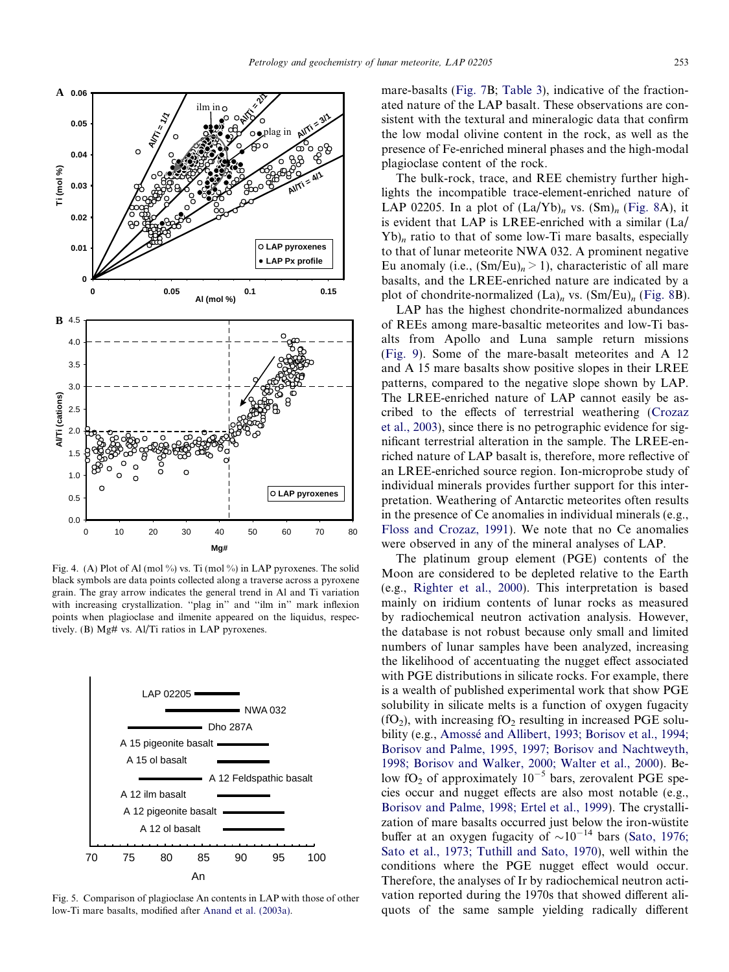<span id="page-7-0"></span>

Fig. 4. (A) Plot of Al (mol %) vs. Ti (mol %) in LAP pyroxenes. The solid black symbols are data points collected along a traverse across a pyroxene grain. The gray arrow indicates the general trend in Al and Ti variation with increasing crystallization. "plag in" and "ilm in" mark inflexion points when plagioclase and ilmenite appeared on the liquidus, respectively. (B) Mg# vs. Al/Ti ratios in LAP pyroxenes.



Fig. 5. Comparison of plagioclase An contents in LAP with those of other low-Ti mare basalts, modified after [Anand et al. \(2003a\).](#page-16-0)

mare-basalts [\(Fig. 7B](#page-10-0); [Table 3\)](#page-9-0), indicative of the fractionated nature of the LAP basalt. These observations are consistent with the textural and mineralogic data that confirm the low modal olivine content in the rock, as well as the presence of Fe-enriched mineral phases and the high-modal plagioclase content of the rock.

The bulk-rock, trace, and REE chemistry further highlights the incompatible trace-element-enriched nature of LAP 02205. In a plot of  $(La/Yb)<sub>n</sub>$  vs.  $(Sm)<sub>n</sub>$  ([Fig. 8A](#page-10-0)), it is evident that LAP is LREE-enriched with a similar (La/  $Yb$ <sub>n</sub> ratio to that of some low-Ti mare basalts, especially to that of lunar meteorite NWA 032. A prominent negative Eu anomaly (i.e.,  $(Sm/Eu)<sub>n</sub> > 1$ ), characteristic of all mare basalts, and the LREE-enriched nature are indicated by a plot of chondrite-normalized  $(La)_n$  vs.  $(Sm/Eu)_n$  ([Fig. 8](#page-10-0)B).

LAP has the highest chondrite-normalized abundances of REEs among mare-basaltic meteorites and low-Ti basalts from Apollo and Luna sample return missions ([Fig. 9](#page-10-0)). Some of the mare-basalt meteorites and A 12 and A 15 mare basalts show positive slopes in their LREE patterns, compared to the negative slope shown by LAP. The LREE-enriched nature of LAP cannot easily be ascribed to the effects of terrestrial weathering [\(Crozaz](#page-17-0) [et al., 2003\)](#page-17-0), since there is no petrographic evidence for significant terrestrial alteration in the sample. The LREE-enriched nature of LAP basalt is, therefore, more reflective of an LREE-enriched source region. Ion-microprobe study of individual minerals provides further support for this interpretation. Weathering of Antarctic meteorites often results in the presence of Ce anomalies in individual minerals (e.g., [Floss and Crozaz, 1991\)](#page-17-0). We note that no Ce anomalies were observed in any of the mineral analyses of LAP.

The platinum group element (PGE) contents of the Moon are considered to be depleted relative to the Earth (e.g., [Righter et al., 2000\)](#page-18-0). This interpretation is based mainly on iridium contents of lunar rocks as measured by radiochemical neutron activation analysis. However, the database is not robust because only small and limited numbers of lunar samples have been analyzed, increasing the likelihood of accentuating the nugget effect associated with PGE distributions in silicate rocks. For example, there is a wealth of published experimental work that show PGE solubility in silicate melts is a function of oxygen fugacity  $(fO<sub>2</sub>)$ , with increasing  $fO<sub>2</sub>$  resulting in increased PGE solubility (e.g., Amossé [and Allibert, 1993; Borisov et al., 1994;](#page-16-0) [Borisov and Palme, 1995, 1997; Borisov and Nachtweyth,](#page-16-0) [1998; Borisov and Walker, 2000; Walter et al., 2000\)](#page-16-0). Below fO<sub>2</sub> of approximately  $10^{-5}$  bars, zerovalent PGE species occur and nugget effects are also most notable (e.g., [Borisov and Palme, 1998; Ertel et al., 1999\)](#page-16-0). The crystallization of mare basalts occurred just below the iron-wüstite buffer at an oxygen fugacity of  $\sim 10^{-14}$  bars ([Sato, 1976;](#page-18-0) [Sato et al., 1973; Tuthill and Sato, 1970](#page-18-0)), well within the conditions where the PGE nugget effect would occur. Therefore, the analyses of Ir by radiochemical neutron activation reported during the 1970s that showed different aliquots of the same sample yielding radically different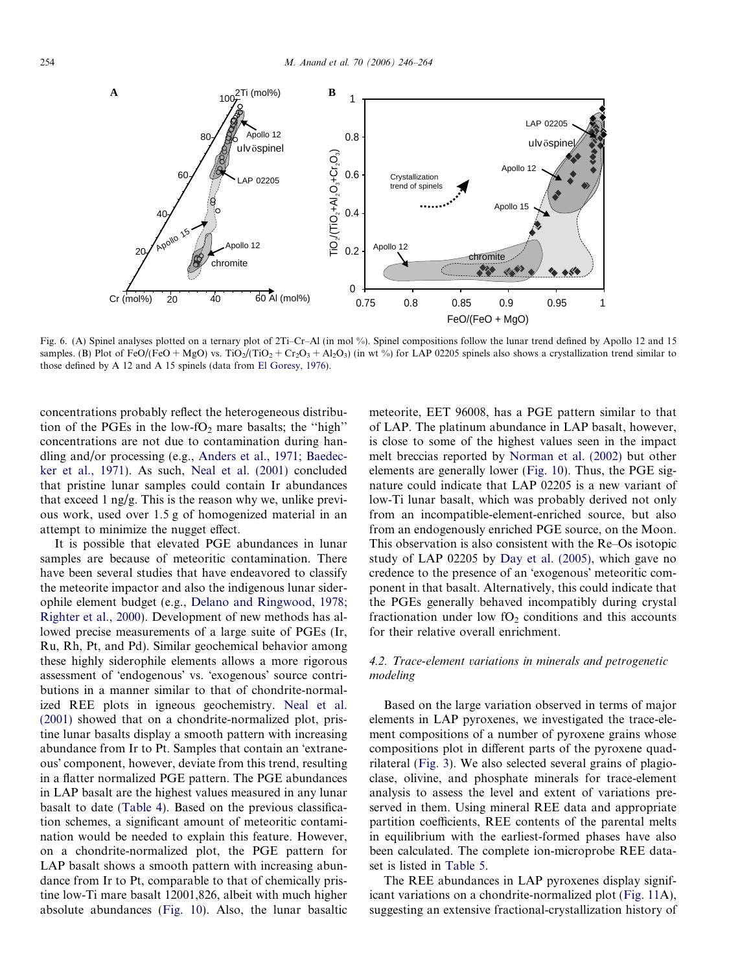<span id="page-8-0"></span>

Fig. 6. (A) Spinel analyses plotted on a ternary plot of 2Ti–Cr–Al (in mol %). Spinel compositions follow the lunar trend defined by Apollo 12 and 15 samples. (B) Plot of FeO/(FeO + MgO) vs. TiO<sub>2</sub>/(TiO<sub>2</sub> + Cr<sub>2</sub>O<sub>3</sub> + Al<sub>2</sub>O<sub>3</sub>) (in wt %) for LAP 02205 spinels also shows a crystallization trend similar to those defined by A 12 and A 15 spinels (data from [El Goresy, 1976\)](#page-17-0).

concentrations probably reflect the heterogeneous distribution of the PGEs in the low-fO<sub>2</sub> mare basalts; the "high" concentrations are not due to contamination during handling and/or processing (e.g., [Anders et al., 1971; Baedec](#page-16-0)[ker et al., 1971\)](#page-16-0). As such, [Neal et al. \(2001\)](#page-17-0) concluded that pristine lunar samples could contain Ir abundances that exceed  $1 \frac{ng}{g}$ . This is the reason why we, unlike previous work, used over 1.5 g of homogenized material in an attempt to minimize the nugget effect.

It is possible that elevated PGE abundances in lunar samples are because of meteoritic contamination. There have been several studies that have endeavored to classify the meteorite impactor and also the indigenous lunar siderophile element budget (e.g., [Delano and Ringwood, 1978;](#page-17-0) [Righter et al., 2000\)](#page-17-0). Development of new methods has allowed precise measurements of a large suite of PGEs (Ir, Ru, Rh, Pt, and Pd). Similar geochemical behavior among these highly siderophile elements allows a more rigorous assessment of 'endogenous' vs. 'exogenous' source contributions in a manner similar to that of chondrite-normalized REE plots in igneous geochemistry. [Neal et al.](#page-17-0) [\(2001\)](#page-17-0) showed that on a chondrite-normalized plot, pristine lunar basalts display a smooth pattern with increasing abundance from Ir to Pt. Samples that contain an 'extraneous' component, however, deviate from this trend, resulting in a flatter normalized PGE pattern. The PGE abundances in LAP basalt are the highest values measured in any lunar basalt to date ([Table 4\)](#page-11-0). Based on the previous classification schemes, a significant amount of meteoritic contamination would be needed to explain this feature. However, on a chondrite-normalized plot, the PGE pattern for LAP basalt shows a smooth pattern with increasing abundance from Ir to Pt, comparable to that of chemically pristine low-Ti mare basalt 12001,826, albeit with much higher absolute abundances ([Fig. 10](#page-11-0)). Also, the lunar basaltic meteorite, EET 96008, has a PGE pattern similar to that of LAP. The platinum abundance in LAP basalt, however, is close to some of the highest values seen in the impact melt breccias reported by [Norman et al. \(2002\)](#page-17-0) but other elements are generally lower [\(Fig. 10](#page-11-0)). Thus, the PGE signature could indicate that LAP 02205 is a new variant of low-Ti lunar basalt, which was probably derived not only from an incompatible-element-enriched source, but also from an endogenously enriched PGE source, on the Moon. This observation is also consistent with the Re–Os isotopic study of LAP 02205 by [Day et al. \(2005\),](#page-17-0) which gave no credence to the presence of an 'exogenous' meteoritic component in that basalt. Alternatively, this could indicate that the PGEs generally behaved incompatibly during crystal fractionation under low  $fO<sub>2</sub>$  conditions and this accounts for their relative overall enrichment.

# 4.2. Trace-element variations in minerals and petrogenetic modeling

Based on the large variation observed in terms of major elements in LAP pyroxenes, we investigated the trace-element compositions of a number of pyroxene grains whose compositions plot in different parts of the pyroxene quadrilateral ([Fig. 3\)](#page-5-0). We also selected several grains of plagioclase, olivine, and phosphate minerals for trace-element analysis to assess the level and extent of variations preserved in them. Using mineral REE data and appropriate partition coefficients, REE contents of the parental melts in equilibrium with the earliest-formed phases have also been calculated. The complete ion-microprobe REE dataset is listed in [Table 5](#page-12-0).

The REE abundances in LAP pyroxenes display significant variations on a chondrite-normalized plot [\(Fig. 11](#page-13-0)A), suggesting an extensive fractional-crystallization history of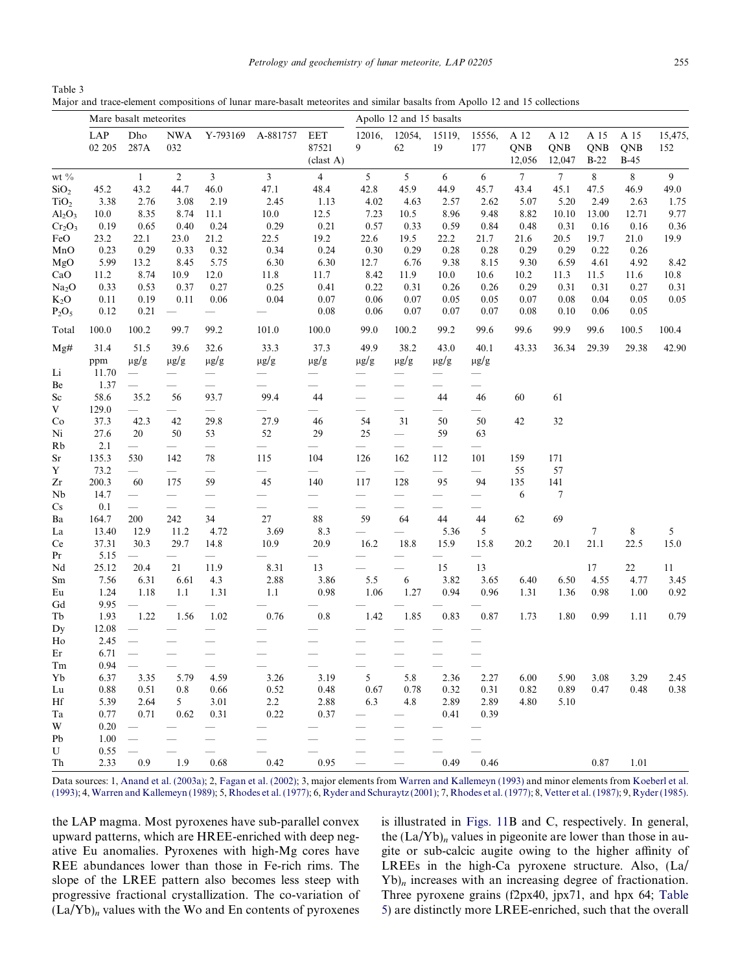<span id="page-9-0"></span>Table 3 Major and trace-element compositions of lunar mare-basalt meteorites and similar basalts from Apollo 12 and 15 collections

|                                 |               | Mare basalt meteorites          |                                 |                                 |                                 |                                 | Apollo 12 and 15 basalts        |                                 |                               |                                       |                              |                       |                       |                     |                |  |
|---------------------------------|---------------|---------------------------------|---------------------------------|---------------------------------|---------------------------------|---------------------------------|---------------------------------|---------------------------------|-------------------------------|---------------------------------------|------------------------------|-----------------------|-----------------------|---------------------|----------------|--|
|                                 | LAP<br>02 205 | Dho<br>287A                     | <b>NWA</b><br>032               | Y-793169                        | A-881757                        | <b>EET</b><br>87521<br>clast A) | 12016,<br>9                     | 12054,<br>62                    | 15119,<br>19                  | 15556,<br>177                         | A 12<br><b>QNB</b><br>12,056 | A 12<br>QNB<br>12,047 | A 15<br>QNB<br>$B-22$ | A 15<br>QNB<br>B-45 | 15,475,<br>152 |  |
| wt $\%$                         |               | $\mathbf{1}$                    | $\sqrt{2}$                      | $\mathfrak{Z}$                  | $\mathfrak{Z}$                  | $\overline{\mathbf{4}}$         | $\mathfrak{S}$                  | 5                               | 6                             | $6\,$                                 | $\boldsymbol{7}$             | $\boldsymbol{7}$      | 8                     | $\,8\,$             | 9              |  |
| SiO <sub>2</sub>                | 45.2          | 43.2                            | 44.7                            | 46.0                            | 47.1                            | 48.4                            | 42.8                            | 45.9                            | 44.9                          | 45.7                                  | 43.4                         | 45.1                  | 47.5                  | 46.9                | 49.0           |  |
| TiO <sub>2</sub>                | 3.38          | 2.76                            | 3.08                            | 2.19                            | 2.45                            | 1.13                            | 4.02                            | 4.63                            | 2.57                          | 2.62                                  | 5.07                         | 5.20                  | 2.49                  | 2.63                | 1.75           |  |
| Al <sub>2</sub> O <sub>3</sub>  | 10.0          | 8.35                            | 8.74                            | 11.1                            | 10.0                            | 12.5                            | 7.23                            | 10.5                            | 8.96                          | 9.48                                  | 8.82                         | 10.10                 | 13.00                 | 12.71               | 9.77           |  |
| $Cr_2O_3$                       | 0.19          | 0.65                            | 0.40                            | 0.24                            | 0.29                            | 0.21                            | 0.57                            | 0.33                            | 0.59                          | 0.84                                  | 0.48                         | 0.31                  | 0.16                  | 0.16                | 0.36           |  |
| FeO                             | 23.2          | 22.1                            | 23.0                            | 21.2                            | 22.5                            | 19.2                            | 22.6                            | 19.5                            | 22.2                          | 21.7                                  | 21.6                         | 20.5                  | 19.7                  | 21.0                | 19.9           |  |
| MnO                             | 0.23          | 0.29                            | 0.33                            | 0.32                            | 0.34                            | 0.24                            | 0.30                            | 0.29                            | 0.28                          | 0.28                                  | 0.29                         | 0.29                  | 0.22                  | 0.26                |                |  |
| MgO                             | 5.99          | 13.2                            | 8.45                            | 5.75                            | 6.30                            | 6.30                            | 12.7                            | 6.76                            | 9.38                          | 8.15                                  | 9.30                         | 6.59                  | 4.61                  | 4.92                | 8.42           |  |
| CaO                             | 11.2          | 8.74                            | 10.9                            | 12.0                            | 11.8                            | 11.7                            | 8.42                            | 11.9                            | 10.0                          | 10.6                                  | 10.2                         | 11.3                  | 11.5                  | 11.6                | 10.8           |  |
| Na <sub>2</sub> O               | 0.33          | 0.53                            | 0.37                            | 0.27                            | 0.25                            | 0.41                            | 0.22                            | 0.31                            | 0.26                          | 0.26                                  | 0.29                         | 0.31                  | 0.31                  | 0.27                | 0.31           |  |
| $K_2O$                          | 0.11          | 0.19                            | 0.11                            | 0.06                            | 0.04                            | 0.07                            | 0.06                            | 0.07                            | 0.05                          | 0.05                                  | 0.07                         | 0.08                  | 0.04                  | 0.05                | 0.05           |  |
| $P_2O_5$                        | 0.12          | 0.21                            |                                 |                                 |                                 | 0.08                            | 0.06                            | 0.07                            | 0.07                          | 0.07                                  | 0.08                         | 0.10                  | 0.06                  | 0.05                |                |  |
| Total                           | 100.0         | 100.2                           | 99.7                            | 99.2                            | 101.0                           | 100.0                           | 99.0                            | 100.2                           | 99.2                          | 99.6                                  | 99.6                         | 99.9                  | 99.6                  | 100.5               | 100.4          |  |
| Mg#                             | 31.4          | 51.5                            | 39.6                            | 32.6                            | 33.3                            | 37.3                            | 49.9                            | 38.2                            | 43.0                          | 40.1                                  | 43.33                        | 36.34                 | 29.39                 | 29.38               | 42.90          |  |
|                                 | ppm           | $\mu$ g/g                       | $\mu$ g/g                       | $\mu$ g/g                       | $\mu$ g/g                       | $\mu$ g/g                       | $\mu$ g/g                       | $\mu$ g/g                       | $\mu$ g/g                     | $\mu$ g/g                             |                              |                       |                       |                     |                |  |
| Li                              | 11.70         | $\overbrace{\phantom{12333}}$   |                                 |                                 | $\overline{\phantom{0}}$        |                                 | $\overbrace{\qquad \qquad }^{}$ |                                 |                               | $\qquad \qquad$                       |                              |                       |                       |                     |                |  |
| Be                              | 1.37          |                                 |                                 |                                 |                                 | $\overline{\phantom{0}}$        |                                 | $\overline{\phantom{0}}$        |                               |                                       |                              |                       |                       |                     |                |  |
| Sc                              | 58.6          | 35.2                            | 56                              | 93.7                            | 99.4                            | 44                              |                                 |                                 | 44                            | 46                                    | 60                           | 61                    |                       |                     |                |  |
| V                               | 129.0         |                                 |                                 |                                 |                                 | $\overline{\phantom{0}}$        |                                 |                                 |                               | $\overbrace{\phantom{12333}}$         |                              |                       |                       |                     |                |  |
| Co                              | 37.3          | 42.3                            | 42                              | 29.8                            | 27.9                            | 46                              | 54                              | 31                              | 50                            | 50                                    | 42                           | $32\,$                |                       |                     |                |  |
| Ni                              | 27.6          | 20                              | 50                              | 53                              | 52                              | 29                              | 25                              |                                 | 59                            | 63                                    |                              |                       |                       |                     |                |  |
| Rb                              | 2.1           | $\overline{\phantom{0}}$        | $\overbrace{\qquad \qquad }^{}$ |                                 |                                 |                                 | $\overbrace{\qquad \qquad }^{}$ |                                 | $\overbrace{\phantom{12333}}$ | $\qquad \qquad$                       |                              |                       |                       |                     |                |  |
| $\rm Sr$                        | 135.3         | 530                             | 142                             | 78                              | 115                             | 104                             | 126                             | 162                             | 112                           | 101                                   | 159                          | 171                   |                       |                     |                |  |
| Y                               | 73.2          |                                 |                                 | $\overline{\phantom{0}}$        | $\overbrace{\qquad \qquad }^{}$ |                                 |                                 |                                 |                               | $\overline{\phantom{0}}$              | 55                           | 57                    |                       |                     |                |  |
| Zr                              | 200.3         | 60                              | 175                             | 59                              | 45                              | 140                             | 117                             | 128                             | 95                            | 94                                    | 135                          | 141                   |                       |                     |                |  |
| Nb                              | 14.7          | $\overline{\phantom{0}}$        | $\overline{\phantom{0}}$        |                                 |                                 | $\overline{\phantom{0}}$        |                                 |                                 | $\overbrace{\phantom{12333}}$ | $\hspace{1.0cm} \rule{1.5cm}{0.15cm}$ | 6                            | $\tau$                |                       |                     |                |  |
| Cs                              | 0.1           | $\overbrace{\qquad \qquad }^{}$ | $\overbrace{\qquad \qquad }^{}$ |                                 |                                 | $\overline{\phantom{0}}$        | $\overbrace{\qquad \qquad }^{}$ | $\overbrace{\qquad \qquad }^{}$ |                               | $\hspace{1.0cm} \rule{1.5cm}{0.15cm}$ |                              |                       |                       |                     |                |  |
| Ba                              | 164.7         | 200                             | 242                             | 34                              | 27                              | $88\,$                          | 59                              | 64                              | 44                            | 44                                    | 62                           | 69                    |                       |                     |                |  |
| La                              | 13.40         | 12.9                            | 11.2                            | 4.72                            | 3.69                            | 8.3                             | $\overline{\phantom{0}}$        |                                 | 5.36                          | $\sqrt{5}$                            |                              |                       | 7                     | 8                   | 5              |  |
| Ce                              | 37.31         | 30.3                            | 29.7                            | 14.8                            | 10.9                            | 20.9                            | 16.2                            | 18.8                            | 15.9                          | 15.8                                  | 20.2                         | 20.1                  | 21.1                  | 22.5                | 15.0           |  |
| Pr                              | 5.15          |                                 |                                 | $\overbrace{\qquad \qquad }^{}$ |                                 |                                 |                                 |                                 |                               |                                       |                              |                       |                       |                     |                |  |
| Nd                              | 25.12         | 20.4                            | 21                              | 11.9                            | 8.31                            | 13                              |                                 |                                 | 15                            | 13                                    |                              |                       | 17                    | 22                  | 11             |  |
| Sm                              | 7.56          | 6.31                            | 6.61                            | 4.3                             | 2.88                            | 3.86                            | 5.5                             | 6                               | 3.82                          | 3.65                                  | 6.40                         | 6.50                  | 4.55                  | 4.77                | 3.45           |  |
| $\mathop{\mathrm{Eu}}\nolimits$ | 1.24          | 1.18                            | 1.1                             | 1.31                            | 1.1                             | 0.98                            | 1.06                            | 1.27                            | 0.94                          | 0.96                                  | 1.31                         | 1.36                  | 0.98                  | 1.00                | 0.92           |  |
| Gd                              | 9.95          | $\overline{\phantom{0}}$        |                                 |                                 |                                 |                                 |                                 |                                 |                               |                                       |                              |                       |                       |                     |                |  |
| $\rm Tb$                        | 1.93          | 1.22                            | 1.56                            | 1.02                            | 0.76                            | 0.8                             | 1.42                            | 1.85                            | 0.83                          | 0.87                                  | 1.73                         | 1.80                  | 0.99                  | 1.11                | 0.79           |  |
| Dy                              | 12.08         |                                 |                                 |                                 |                                 |                                 |                                 |                                 |                               |                                       |                              |                       |                       |                     |                |  |
| Ho                              | 2.45          |                                 |                                 |                                 |                                 |                                 |                                 |                                 |                               |                                       |                              |                       |                       |                     |                |  |
| Er                              | 6.71          | $\overline{\phantom{0}}$        |                                 |                                 |                                 |                                 |                                 |                                 |                               |                                       |                              |                       |                       |                     |                |  |
| Tm                              | 0.94          |                                 | $\overline{\phantom{m}}$        | $\overline{\phantom{0}}$        |                                 |                                 |                                 |                                 |                               |                                       |                              |                       |                       |                     |                |  |
| Yb                              | 6.37          | 3.35                            | 5.79                            | 4.59                            | 3.26                            | 3.19                            | 5                               | 5.8                             | 2.36                          | 2.27                                  | 6.00                         | 5.90                  | 3.08                  | 3.29                | 2.45           |  |
| Lu                              | 0.88          | 0.51                            | 0.8                             | 0.66                            | 0.52                            | 0.48                            | 0.67                            | 0.78                            | 0.32                          | 0.31                                  | 0.82                         | 0.89                  | 0.47                  | 0.48                | 0.38           |  |
| Hf                              | 5.39          | 2.64                            | 5                               | 3.01                            | $2.2\,$                         | 2.88                            | 6.3                             | 4.8                             | 2.89                          | 2.89                                  | 4.80                         | 5.10                  |                       |                     |                |  |
| Ta                              | 0.77          | 0.71                            | 0.62                            | 0.31                            | 0.22                            | 0.37                            |                                 |                                 | 0.41                          | 0.39                                  |                              |                       |                       |                     |                |  |
| W                               | 0.20          |                                 |                                 |                                 |                                 |                                 |                                 |                                 |                               |                                       |                              |                       |                       |                     |                |  |
| Pb                              | 1.00          |                                 |                                 |                                 |                                 |                                 |                                 |                                 |                               |                                       |                              |                       |                       |                     |                |  |
|                                 |               |                                 |                                 |                                 |                                 |                                 |                                 |                                 |                               |                                       |                              |                       |                       |                     |                |  |
| U                               | 0.55          |                                 |                                 |                                 |                                 |                                 |                                 |                                 |                               |                                       |                              |                       |                       |                     |                |  |
| Th                              | 2.33          | 0.9                             | 1.9                             | 0.68                            | 0.42                            | 0.95                            |                                 |                                 | 0.49                          | 0.46                                  |                              |                       | 0.87                  | 1.01                |                |  |

Data sources: 1, [Anand et al. \(2003a\)](#page-16-0); 2, [Fagan et al. \(2002\)](#page-17-0); 3, major elements from [Warren and Kallemeyn \(1993\)](#page-18-0) and minor elements from [Koeberl et al.](#page-17-0) [\(1993\);](#page-17-0) 4, [Warren and Kallemeyn \(1989\);](#page-18-0) 5, [Rhodes et al. \(1977\)](#page-18-0); 6, [Ryder and Schuraytz \(2001\);](#page-18-0) 7, [Rhodes et al. \(1977\);](#page-18-0) 8, [Vetter et al. \(1987\);](#page-18-0) 9, [Ryder \(1985\)](#page-18-0).

the LAP magma. Most pyroxenes have sub-parallel convex upward patterns, which are HREE-enriched with deep negative Eu anomalies. Pyroxenes with high-Mg cores have REE abundances lower than those in Fe-rich rims. The slope of the LREE pattern also becomes less steep with progressive fractional crystallization. The co-variation of  $(La/Yb)<sub>n</sub>$  values with the Wo and En contents of pyroxenes

is illustrated in [Figs. 11B](#page-13-0) and C, respectively. In general, the  $(La/Yb)_n$  values in pigeonite are lower than those in augite or sub-calcic augite owing to the higher affinity of LREEs in the high-Ca pyroxene structure. Also, (La/  $Yb$ <sub>n</sub> increases with an increasing degree of fractionation. Three pyroxene grains (f2px40, jpx71, and hpx 64; [Table](#page-12-0) [5\)](#page-12-0) are distinctly more LREE-enriched, such that the overall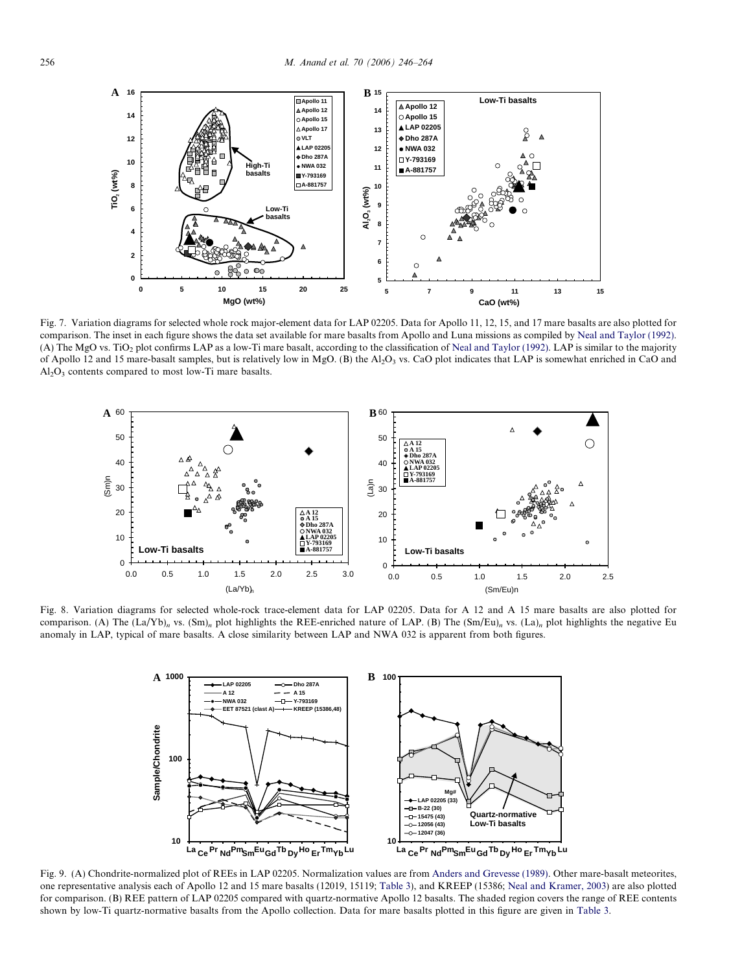<span id="page-10-0"></span>

Fig. 7. Variation diagrams for selected whole rock major-element data for LAP 02205. Data for Apollo 11, 12, 15, and 17 mare basalts are also plotted for comparison. The inset in each figure shows the data set available for mare basalts from Apollo and Luna missions as compiled by [Neal and Taylor \(1992\).](#page-17-0) (A) The MgO vs. TiO<sub>2</sub> plot confirms LAP as a low-Ti mare basalt, according to the classification of [Neal and Taylor \(1992\).](#page-17-0) LAP is similar to the majority of Apollo 12 and 15 mare-basalt samples, but is relatively low in MgO. (B) the Al<sub>2</sub>O<sub>3</sub> vs. CaO plot indicates that LAP is somewhat enriched in CaO and  $Al<sub>2</sub>O<sub>3</sub>$  contents compared to most low-Ti mare basalts.



Fig. 8. Variation diagrams for selected whole-rock trace-element data for LAP 02205. Data for A 12 and A 15 mare basalts are also plotted for comparison. (A) The  $(La/Yb)_n$  vs.  $(Sm)_n$  plot highlights the REE-enriched nature of LAP. (B) The  $(Sm/Eu)_n$  vs.  $(La)_n$  plot highlights the negative Eu anomaly in LAP, typical of mare basalts. A close similarity between LAP and NWA 032 is apparent from both figures.



Fig. 9. (A) Chondrite-normalized plot of REEs in LAP 02205. Normalization values are from [Anders and Grevesse \(1989\).](#page-16-0) Other mare-basalt meteorites, one representative analysis each of Apollo 12 and 15 mare basalts (12019, 15119; [Table 3](#page-9-0)), and KREEP (15386; [Neal and Kramer, 2003](#page-17-0)) are also plotted for comparison. (B) REE pattern of LAP 02205 compared with quartz-normative Apollo 12 basalts. The shaded region covers the range of REE contents shown by low-Ti quartz-normative basalts from the Apollo collection. Data for mare basalts plotted in this figure are given in [Table 3](#page-9-0).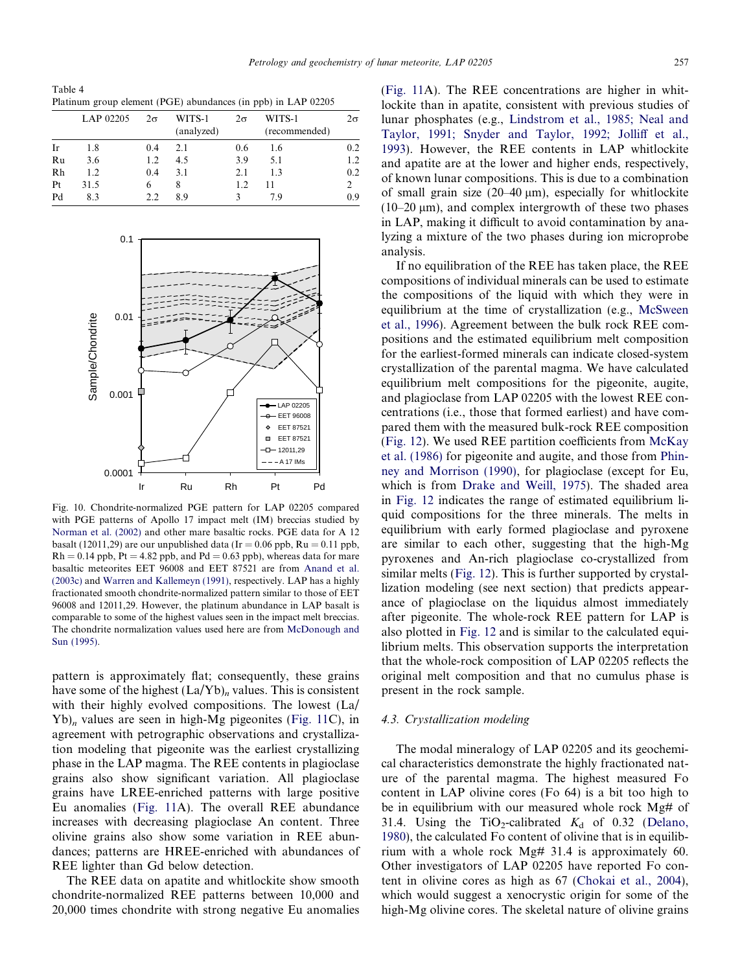<span id="page-11-0"></span>Table 4 Platinum group element (PGE) abundances (in ppb) in LAP 02205

|    | LAP 02205 | $2\sigma$ | WITS-1<br>(analyzed) | $2\sigma$ | WITS-1<br>(recommended) | $2\sigma$                   |
|----|-----------|-----------|----------------------|-----------|-------------------------|-----------------------------|
| Ir | 1.8       | 0.4       | 2.1                  | 0.6       | 1.6                     | 0.2                         |
| Ru | 3.6       | 1.2       | 4.5                  | 3.9       | 5.1                     | 1.2                         |
| Rh | 1.2       | 0.4       | 3.1                  | 2.1       | 13                      | 0.2                         |
| Pt | 31.5      | 6         |                      | 1.2       |                         | $\mathcal{D}_{\mathcal{L}}$ |
| Pd | 8.3       |           | 89                   |           | 79                      | 0.9                         |



Fig. 10. Chondrite-normalized PGE pattern for LAP 02205 compared with PGE patterns of Apollo 17 impact melt (IM) breccias studied by [Norman et al. \(2002\)](#page-17-0) and other mare basaltic rocks. PGE data for A 12 basalt (12011,29) are our unpublished data (Ir = 0.06 ppb,  $Ru = 0.11$  ppb,  $Rh = 0.14$  ppb,  $Pt = 4.82$  ppb, and  $Pd = 0.63$  ppb), whereas data for mare basaltic meteorites EET 96008 and EET 87521 are from [Anand et al.](#page-16-0) [\(2003c\)](#page-16-0) and [Warren and Kallemeyn \(1991\),](#page-18-0) respectively. LAP has a highly fractionated smooth chondrite-normalized pattern similar to those of EET 96008 and 12011,29. However, the platinum abundance in LAP basalt is comparable to some of the highest values seen in the impact melt breccias. The chondrite normalization values used here are from [McDonough and](#page-17-0) [Sun \(1995\).](#page-17-0)

pattern is approximately flat; consequently, these grains have some of the highest  $(La/Yb)_n$  values. This is consistent with their highly evolved compositions. The lowest (La/  $Yb$ <sub>n</sub> values are seen in high-Mg pigeonites ([Fig. 11](#page-13-0)C), in agreement with petrographic observations and crystallization modeling that pigeonite was the earliest crystallizing phase in the LAP magma. The REE contents in plagioclase grains also show significant variation. All plagioclase grains have LREE-enriched patterns with large positive Eu anomalies ([Fig. 11A](#page-13-0)). The overall REE abundance increases with decreasing plagioclase An content. Three olivine grains also show some variation in REE abundances; patterns are HREE-enriched with abundances of REE lighter than Gd below detection.

The REE data on apatite and whitlockite show smooth chondrite-normalized REE patterns between 10,000 and 20,000 times chondrite with strong negative Eu anomalies

([Fig. 11](#page-13-0)A). The REE concentrations are higher in whitlockite than in apatite, consistent with previous studies of lunar phosphates (e.g., [Lindstrom et al., 1985; Neal and](#page-17-0) [Taylor, 1991; Snyder and Taylor, 1992; Jolliff et al.,](#page-17-0) [1993](#page-17-0)). However, the REE contents in LAP whitlockite and apatite are at the lower and higher ends, respectively, of known lunar compositions. This is due to a combination of small grain size  $(20-40 \,\mu\text{m})$ , especially for whitlockite  $(10-20 \mu m)$ , and complex intergrowth of these two phases in LAP, making it difficult to avoid contamination by analyzing a mixture of the two phases during ion microprobe analysis.

If no equilibration of the REE has taken place, the REE compositions of individual minerals can be used to estimate the compositions of the liquid with which they were in equilibrium at the time of crystallization (e.g., [McSween](#page-17-0) [et al., 1996\)](#page-17-0). Agreement between the bulk rock REE compositions and the estimated equilibrium melt composition for the earliest-formed minerals can indicate closed-system crystallization of the parental magma. We have calculated equilibrium melt compositions for the pigeonite, augite, and plagioclase from LAP 02205 with the lowest REE concentrations (i.e., those that formed earliest) and have compared them with the measured bulk-rock REE composition ([Fig. 12\)](#page-13-0). We used REE partition coefficients from [McKay](#page-17-0) [et al. \(1986\)](#page-17-0) for pigeonite and augite, and those from [Phin](#page-17-0)[ney and Morrison \(1990\)](#page-17-0), for plagioclase (except for Eu, which is from [Drake and Weill, 1975\)](#page-17-0). The shaded area in [Fig. 12](#page-13-0) indicates the range of estimated equilibrium liquid compositions for the three minerals. The melts in equilibrium with early formed plagioclase and pyroxene are similar to each other, suggesting that the high-Mg pyroxenes and An-rich plagioclase co-crystallized from similar melts ([Fig. 12](#page-13-0)). This is further supported by crystallization modeling (see next section) that predicts appearance of plagioclase on the liquidus almost immediately after pigeonite. The whole-rock REE pattern for LAP is also plotted in [Fig. 12](#page-13-0) and is similar to the calculated equilibrium melts. This observation supports the interpretation that the whole-rock composition of LAP 02205 reflects the original melt composition and that no cumulus phase is present in the rock sample.

#### 4.3. Crystallization modeling

The modal mineralogy of LAP 02205 and its geochemical characteristics demonstrate the highly fractionated nature of the parental magma. The highest measured Fo content in LAP olivine cores (Fo 64) is a bit too high to be in equilibrium with our measured whole rock Mg# of 31.4. Using the TiO<sub>2</sub>-calibrated  $K_d$  of 0.32 ([Delano,](#page-17-0) [1980](#page-17-0)), the calculated Fo content of olivine that is in equilibrium with a whole rock Mg# 31.4 is approximately 60. Other investigators of LAP 02205 have reported Fo content in olivine cores as high as 67 [\(Chokai et al., 2004\)](#page-16-0), which would suggest a xenocrystic origin for some of the high-Mg olivine cores. The skeletal nature of olivine grains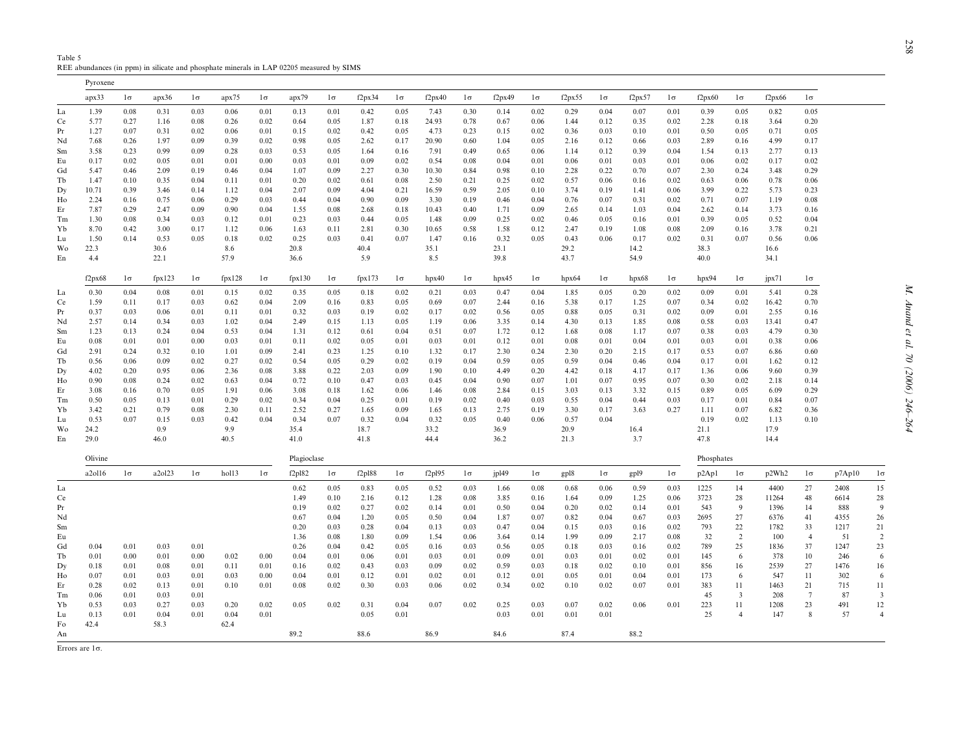<span id="page-12-0"></span>Table 5REE abundances (in ppm) in silicate and phosphate minerals in LAP 02205 measured by SIMS

Pyroxene

|    | apx33   | $1\sigma$ | apx36  | $1\sigma$ | apx75  | $1\sigma$ | apx79       | $1\sigma$ | f2px34             | $1\sigma$ | f2px40 | $1\sigma$ | f2px49 | $1\sigma$ | f2px55 | $1\sigma$ | f2px57 | $1\sigma$ | f2px60     | $1\sigma$      | f2px66 | $1\sigma$      |        |                |
|----|---------|-----------|--------|-----------|--------|-----------|-------------|-----------|--------------------|-----------|--------|-----------|--------|-----------|--------|-----------|--------|-----------|------------|----------------|--------|----------------|--------|----------------|
| La | 1.39    | 0.08      | 0.31   | 0.03      | 0.06   | 0.01      | 0.13        | 0.01      | 0.42               | 0.05      | 7.43   | 0.30      | 0.14   | 0.02      | 0.29   | 0.04      | 0.07   | 0.01      | 0.39       | 0.05           | 0.82   | 0.05           |        |                |
| Ce | 5.77    | 0.27      | 1.16   | 0.08      | 0.26   | 0.02      | 0.64        | 0.05      | 1.87               | 0.18      | 24.93  | 0.78      | 0.67   | 0.06      | 1.44   | 0.12      | 0.35   | 0.02      | 2.28       | 0.18           | 3.64   | 0.20           |        |                |
| Pr | 1.27    | 0.07      | 0.31   | 0.02      | 0.06   | 0.01      | 0.15        | 0.02      | 0.42               | 0.05      | 4.73   | 0.23      | 0.15   | 0.02      | 0.36   | 0.03      | 0.10   | 0.01      | 0.50       | 0.05           | 0.71   | 0.05           |        |                |
| Nd | 7.68    | 0.26      | 1.97   | 0.09      | 0.39   | 0.02      | 0.98        | 0.05      | 2.62               | 0.17      | 20.90  | 0.60      | 1.04   | 0.05      | 2.16   | 0.12      | 0.66   | 0.03      | 2.89       | 0.16           | 4.99   | 0.17           |        |                |
| Sm | 3.58    | 0.23      | 0.99   | 0.09      | 0.28   | 0.03      | 0.53        | 0.05      | 1.64               | 0.16      | 7.91   | 0.49      | 0.65   | 0.06      | 1.14   | 0.12      | 0.39   | 0.04      | 1.54       | 0.13           | 2.77   | 0.13           |        |                |
| Eu | 0.17    | 0.02      | 0.05   | 0.01      | 0.01   | 0.00      | 0.03        | 0.01      | 0.09               | 0.02      | 0.54   | 0.08      | 0.04   | 0.01      | 0.06   | 0.01      | 0.03   | 0.01      | 0.06       | 0.02           | 0.17   | 0.02           |        |                |
| Gd | 5.47    | 0.46      | 2.09   | 0.19      | 0.46   | 0.04      | 1.07        | 0.09      | 2.27               | 0.30      | 10.30  | 0.84      | 0.98   | 0.10      | 2.28   | 0.22      | 0.70   | 0.07      | 2.30       | 0.24           | 3.48   | 0.29           |        |                |
| Tb | 1.47    | 0.10      | 0.35   | 0.04      | 0.11   | 0.01      | 0.20        | 0.02      | 0.61               | 0.08      | 2.50   | 0.21      | 0.25   | 0.02      | 0.57   | 0.06      | 0.16   | 0.02      | 0.63       | 0.06           | 0.78   | 0.06           |        |                |
| Dy | 10.71   | 0.39      | 3.46   | 0.14      | 1.12   | 0.04      | 2.07        | 0.09      | 4.04               | 0.21      | 16.59  | 0.59      | 2.05   | 0.10      | 3.74   | 0.19      | 1.41   | 0.06      | 3.99       | 0.22           | 5.73   | 0.23           |        |                |
| Ho | 2.24    | 0.16      | 0.75   | 0.06      | 0.29   | 0.03      | 0.44        | 0.04      | 0.90               | 0.09      | 3.30   | 0.19      | 0.46   | 0.04      | 0.76   | 0.07      | 0.31   | 0.02      | 0.71       | 0.07           | 1.19   | 0.08           |        |                |
| Er | 7.87    | 0.29      | 2.47   | 0.09      | 0.90   | 0.04      | 1.55        | 0.08      | 2.68               | 0.18      | 10.43  | 0.40      | 1.71   | 0.09      | 2.65   | 0.14      | 1.03   | 0.04      | 2.62       | 0.14           | 3.73   | 0.16           |        |                |
| Tm | 1.30    | 0.08      | 0.34   | 0.03      | 0.12   | 0.01      | 0.23        | 0.03      | 0.44               | 0.05      | 1.48   | 0.09      | 0.25   | 0.02      | 0.46   | 0.05      | 0.16   | 0.01      | 0.39       | 0.05           | 0.52   | 0.04           |        |                |
| Yb | 8.70    | 0.42      | 3.00   | 0.17      | 1.12   | 0.06      | 1.63        | 0.11      | 2.81               | 0.30      | 10.65  | 0.58      | 1.58   | 0.12      | 2.47   | 0.19      | 1.08   | 0.08      | 2.09       | 0.16           | 3.78   | 0.21           |        |                |
| Lu | 1.50    | 0.14      | 0.53   | 0.05      | 0.18   | 0.02      | 0.25        | 0.03      | 0.41               | 0.07      | 1.47   | 0.16      | 0.32   | 0.05      | 0.43   | 0.06      | 0.17   | 0.02      | 0.31       | 0.07           | 0.56   | 0.06           |        |                |
| Wo | 22.3    |           | 30.6   |           | 8.6    |           | 20.8        |           | 40.4               |           | 35.1   |           | 23.1   |           | 29.2   |           | 14.2   |           | 38.3       |                | 16.6   |                |        |                |
| En | 4.4     |           | 22.1   |           | 57.9   |           | 36.6        |           | 5.9                |           | 8.5    |           | 39.8   |           | 43.7   |           | 54.9   |           | 40.0       |                | 34.1   |                |        |                |
|    | f2px68  | $1\sigma$ | fpx123 | $1\sigma$ | fpx128 | $1\sigma$ | fpx130      | $1\sigma$ | fpx173             | $1\sigma$ | hpx40  | $1\sigma$ | hpx45  | $1\sigma$ | hpx64  | $1\sigma$ | hpx68  | $1\sigma$ | hpx94      | $1\sigma$      | jpx71  | $1\sigma$      |        |                |
| La | 0.30    | 0.04      | 0.08   | 0.01      | 0.15   | 0.02      | 0.35        | 0.05      | 0.18               | 0.02      | 0.21   | 0.03      | 0.47   | 0.04      | 1.85   | 0.05      | 0.20   | 0.02      | 0.09       | 0.01           | 5.41   | 0.28           |        |                |
| Ce | 1.59    | 0.11      | 0.17   | 0.03      | 0.62   | 0.04      | 2.09        | 0.16      | 0.83               | 0.05      | 0.69   | 0.07      | 2.44   | 0.16      | 5.38   | 0.17      | 1.25   | 0.07      | 0.34       | 0.02           | 16.42  | 0.70           |        |                |
| Pr | 0.37    | 0.03      | 0.06   | 0.01      | 0.11   | 0.01      | 0.32        | 0.03      | 0.19               | 0.02      | 0.17   | 0.02      | 0.56   | 0.05      | 0.88   | 0.05      | 0.31   | 0.02      | 0.09       | 0.01           | 2.55   | 0.16           |        |                |
| Nd | 2.57    | 0.14      | 0.34   | 0.03      | 1.02   | 0.04      | 2.49        | 0.15      | 1.13               | 0.05      | 1.19   | 0.06      | 3.35   | 0.14      | 4.30   | 0.13      | 1.85   | 0.08      | 0.58       | 0.03           | 13.41  | 0.47           |        |                |
| Sm | 1.23    | 0.13      | 0.24   | 0.04      | 0.53   | 0.04      | 1.31        | 0.12      | 0.61               | 0.04      | 0.51   | 0.07      | 1.72   | 0.12      | 1.68   | 0.08      | 1.17   | 0.07      | 0.38       | 0.03           | 4.79   | 0.30           |        |                |
| Eu | 0.08    | 0.01      | 0.01   | 0.00      | 0.03   | 0.01      | 0.11        | 0.02      | 0.05               | 0.01      | 0.03   | 0.01      | 0.12   | 0.01      | 0.08   | 0.01      | 0.04   | 0.01      | 0.03       | 0.01           | 0.38   | 0.06           |        |                |
| Gd | 2.91    | 0.24      | 0.32   | 0.10      | 1.01   | 0.09      | 2.41        | 0.23      | 1.25               | 0.10      | 1.32   | 0.17      | 2.30   | 0.24      | 2.30   | 0.20      | 2.15   | 0.17      | 0.53       | 0.07           | 6.86   | 0.60           |        |                |
| Тb | 0.56    | 0.06      | 0.09   | 0.02      | 0.27   | 0.02      | 0.54        | 0.05      | 0.29               | 0.02      | 0.19   | 0.04      | 0.59   | 0.05      | 0.59   | 0.04      | 0.46   | 0.04      | 0.17       | 0.01           | 1.62   | 0.12           |        |                |
| Dy | 4.02    | 0.20      | 0.95   | 0.06      | 2.36   | 0.08      | 3.88        | 0.22      | 2.03               | 0.09      | 1.90   | 0.10      | 4.49   | 0.20      | 4.42   | 0.18      | 4.17   | 0.17      | 1.36       | 0.06           | 9.60   | 0.39           |        |                |
| Ho | 0.90    | 0.08      | 0.24   | 0.02      | 0.63   | 0.04      | 0.72        | 0.10      | 0.47               | 0.03      | 0.45   | 0.04      | 0.90   | 0.07      | 1.01   | 0.07      | 0.95   | 0.07      | 0.30       | 0.02           | 2.18   | 0.14           |        |                |
| Er | 3.08    | 0.16      | 0.70   | 0.05      | 1.91   | 0.06      | 3.08        | 0.18      | 1.62               | 0.06      | 1.46   | 0.08      | 2.84   | 0.15      | 3.03   | 0.13      | 3.32   | 0.15      | 0.89       | 0.05           | 6.09   | 0.29           |        |                |
| Tm | 0.50    | 0.05      | 0.13   | 0.01      | 0.29   | 0.02      | 0.34        | 0.04      | 0.25               | 0.01      | 0.19   | 0.02      | 0.40   | 0.03      | 0.55   | 0.04      | 0.44   | 0.03      | 0.17       | 0.01           | 0.84   | 0.07           |        |                |
| Yb | 3.42    | 0.21      | 0.79   | 0.08      | 2.30   | 0.11      | 2.52        | 0.27      | 1.65               | 0.09      | 1.65   | 0.13      | 2.75   | 0.19      | 3.30   | 0.17      | 3.63   | 0.27      | 1.11       | 0.07           | 6.82   | 0.36           |        |                |
| Lu | 0.53    | 0.07      | 0.15   | 0.03      | 0.42   | 0.04      | 0.34        | 0.07      | 0.32               | 0.04      | 0.32   | 0.05      | 0.40   | 0.06      | 0.57   | 0.04      |        |           | 0.19       | 0.02           | 1.13   | 0.10           |        |                |
| Wo | 24.2    |           | 0.9    |           | 9.9    |           | 35.4        |           | 18.7               |           | 33.2   |           | 36.9   |           | 20.9   |           | 16.4   |           | 21.1       |                | 17.9   |                |        |                |
| En | 29.0    |           | 46.0   |           | 40.5   |           | 41.0        |           | 41.8               |           | 44.4   |           | 36.2   |           | 21.3   |           | 3.7    |           | 47.8       |                | 14.4   |                |        |                |
|    | Olivine |           |        |           |        |           | Plagioclase |           |                    |           |        |           |        |           |        |           |        |           | Phosphates |                |        |                |        |                |
|    | a2ol16  | $1\sigma$ | a2ol23 | $1\sigma$ | hol13  | $1\sigma$ | f2p182      | $1\sigma$ | f <sub>2pl88</sub> | $1\sigma$ | f2p195 | $1\sigma$ | jpl49  | $1\sigma$ | gp18   | $1\sigma$ | gp19   | $1\sigma$ | p2Ap1      | $1\sigma$      | p2Wh2  | $1\sigma$      | p7Ap10 | $1\sigma$      |
| La |         |           |        |           |        |           | 0.62        | 0.05      | 0.83               | 0.05      | 0.52   | 0.03      | 1.66   | 0.08      | 0.68   | 0.06      | 0.59   | 0.03      | 1225       | 14             | 4400   | 27             | 2408   | 15             |
| Ce |         |           |        |           |        |           | 1.49        | 0.10      | 2.16               | 0.12      | 1.28   | 0.08      | 3.85   | 0.16      | 1.64   | 0.09      | 1.25   | 0.06      | 3723       | 28             | 11264  | 48             | 6614   | 28             |
| Pr |         |           |        |           |        |           | 0.19        | 0.02      | 0.27               | 0.02      | 0.14   | 0.01      | 0.50   | 0.04      | 0.20   | 0.02      | 0.14   | 0.01      | 543        | 9              | 1396   | 14             | 888    | 9              |
| Nd |         |           |        |           |        |           | 0.67        | 0.04      | 1.20               | 0.05      | 0.50   | 0.04      | 1.87   | 0.07      | 0.82   | 0.04      | 0.67   | 0.03      | 2695       | 27             | 6376   | 41             | 4355   | 26             |
| Sm |         |           |        |           |        |           | 0.20        | 0.03      | 0.28               | 0.04      | 0.13   | 0.03      | 0.47   | 0.04      | 0.15   | 0.03      | 0.16   | 0.02      | 793        | 22             | 1782   | 33             | 1217   | 21             |
| Eu |         |           |        |           |        |           | 1.36        | 0.08      | 1.80               | 0.09      | 1.54   | 0.06      | 3.64   | 0.14      | 1.99   | 0.09      | 2.17   | 0.08      | 32         | 2              | 100    | $\overline{4}$ | 51     | 2              |
| Gd | 0.04    | 0.01      | 0.03   | 0.01      |        |           | 0.26        | 0.04      | 0.42               | 0.05      | 0.16   | 0.03      | 0.56   | 0.05      | 0.18   | 0.03      | 0.16   | 0.02      | 789        | 25             | 1836   | 37             | 1247   | 23             |
| Tb | 0.01    | 0.00      | 0.01   | 0.00      | 0.02   | 0.00      | 0.04        | 0.01      | 0.06               | 0.01      | 0.03   | 0.01      | 0.09   | 0.01      | 0.03   | 0.01      | 0.02   | 0.01      | 145        | 6              | 378    | 10             | 246    | 6              |
| Dy | 0.18    | 0.01      | 0.08   | 0.01      | 0.11   | 0.01      | 0.16        | 0.02      | 0.43               | 0.03      | 0.09   | 0.02      | 0.59   | 0.03      | 0.18   | 0.02      | 0.10   | 0.01      | 856        | 16             | 2539   | 27             | 1476   | 16             |
| Ho | 0.07    | 0.01      | 0.03   | 0.01      | 0.03   | 0.00      | 0.04        | 0.01      | 0.12               | 0.01      | 0.02   | 0.01      | 0.12   | 0.01      | 0.05   | 0.01      | 0.04   | 0.01      | 173        | 6              | 547    | 11             | 302    | 6              |
| Er | 0.28    | 0.02      | 0.13   | 0.01      | 0.10   | 0.01      | 0.08        | 0.02      | 0.30               | 0.03      | 0.06   | 0.02      | 0.34   | 0.02      | 0.10   | 0.02      | 0.07   | 0.01      | 383        | 11             | 1463   | 21             | 715    | 11             |
| Tm | 0.06    | 0.01      | 0.03   | 0.01      |        |           |             |           |                    |           |        |           |        |           |        |           |        |           | 45         | 3              | 208    | 7              | 87     | 3              |
| Yb | 0.53    | 0.03      | 0.27   | 0.03      | 0.20   | 0.02      | 0.05        | 0.02      | 0.31               | 0.04      | 0.07   | 0.02      | 0.25   | 0.03      | 0.07   | 0.02      | 0.06   | 0.01      | 223        | 11             | 1208   | 23             | 491    | 12             |
| Lu | 0.13    | 0.01      | 0.04   | 0.01      | 0.04   | 0.01      |             |           | 0.05               | 0.01      |        |           | 0.03   | 0.01      | 0.01   | 0.01      |        |           | 25         | $\overline{4}$ | 147    | 8              | 57     | $\overline{4}$ |
| Fo | 42.4    |           | 58.3   |           | 62.4   |           |             |           |                    |           |        |           |        |           |        |           |        |           |            |                |        |                |        |                |
| An |         |           |        |           |        |           | 89.2        |           | 88.6               |           | 86.9   |           | 84.6   |           | 87.4   |           | 88.2   |           |            |                |        |                |        |                |

Errors are 1σ.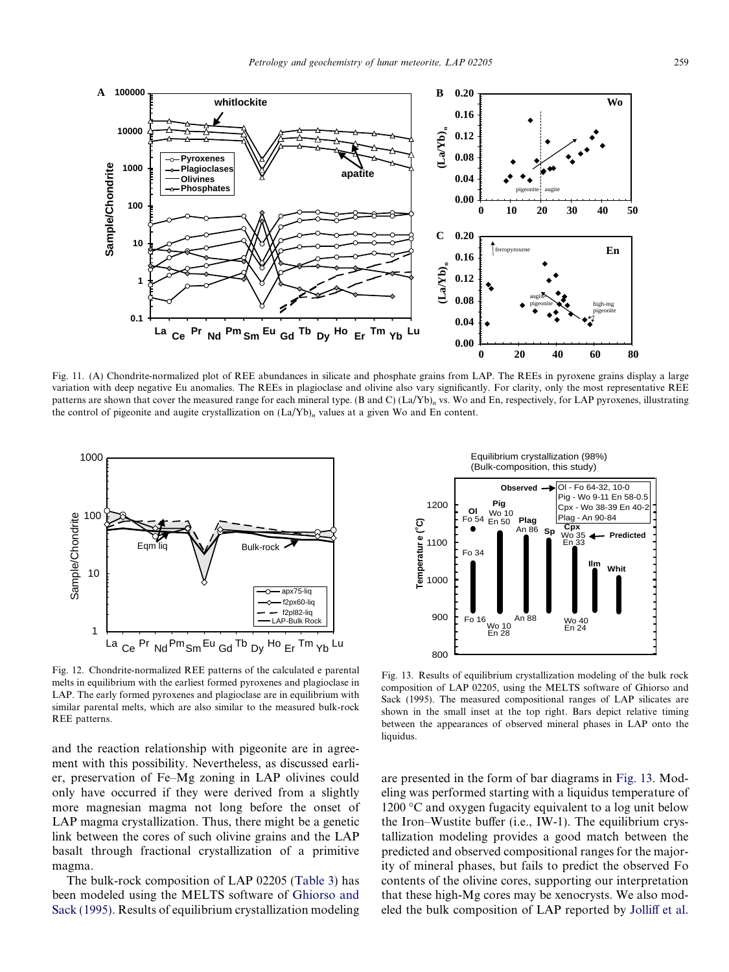<span id="page-13-0"></span>

Fig. 11. (A) Chondrite-normalized plot of REE abundances in silicate and phosphate grains from LAP. The REEs in pyroxene grains display a large variation with deep negative Eu anomalies. The REEs in plagioclase and olivine also vary significantly. For clarity, only the most representative REE patterns are shown that cover the measured range for each mineral type. (B and C) (La/Yb)<sub>n</sub> vs. Wo and En, respectively, for LAP pyroxenes, illustrating the control of pigeonite and augite crystallization on  $(La/Yb)_n$  values at a given Wo and En content.



Fig. 12. Chondrite-normalized REE patterns of the calculated e parental melts in equilibrium with the earliest formed pyroxenes and plagioclase in LAP. The early formed pyroxenes and plagioclase are in equilibrium with similar parental melts, which are also similar to the measured bulk-rock REE patterns.

and the reaction relationship with pigeonite are in agreement with this possibility. Nevertheless, as discussed earlier, preservation of Fe–Mg zoning in LAP olivines could only have occurred if they were derived from a slightly more magnesian magma not long before the onset of LAP magma crystallization. Thus, there might be a genetic link between the cores of such olivine grains and the LAP basalt through fractional crystallization of a primitive magma.

The bulk-rock composition of LAP 02205 ([Table 3\)](#page-9-0) has been modeled using the MELTS software of [Ghiorso and](#page-17-0) [Sack \(1995\).](#page-17-0) Results of equilibrium crystallization modeling

Equilibrium crystallization (98%) (Bulk-composition, this study)



Fig. 13. Results of equilibrium crystallization modeling of the bulk rock composition of LAP 02205, using the MELTS software of Ghiorso and Sack (1995). The measured compositional ranges of LAP silicates are shown in the small inset at the top right. Bars depict relative timing between the appearances of observed mineral phases in LAP onto the liquidus.

are presented in the form of bar diagrams in Fig. 13. Modeling was performed starting with a liquidus temperature of 1200  $\degree$ C and oxygen fugacity equivalent to a log unit below the Iron–Wustite buffer (i.e., IW-1). The equilibrium crystallization modeling provides a good match between the predicted and observed compositional ranges for the majority of mineral phases, but fails to predict the observed Fo contents of the olivine cores, supporting our interpretation that these high-Mg cores may be xenocrysts. We also mod-Election of LAP reported the bulk composition of LAP reported by [Jolliff et al.](#page-17-0)<br>
Lend the bulk composition of LAP reported by Jolliff et al.<br>
Election of LAP reported by Jollin control of the bulk rock of Chinese share th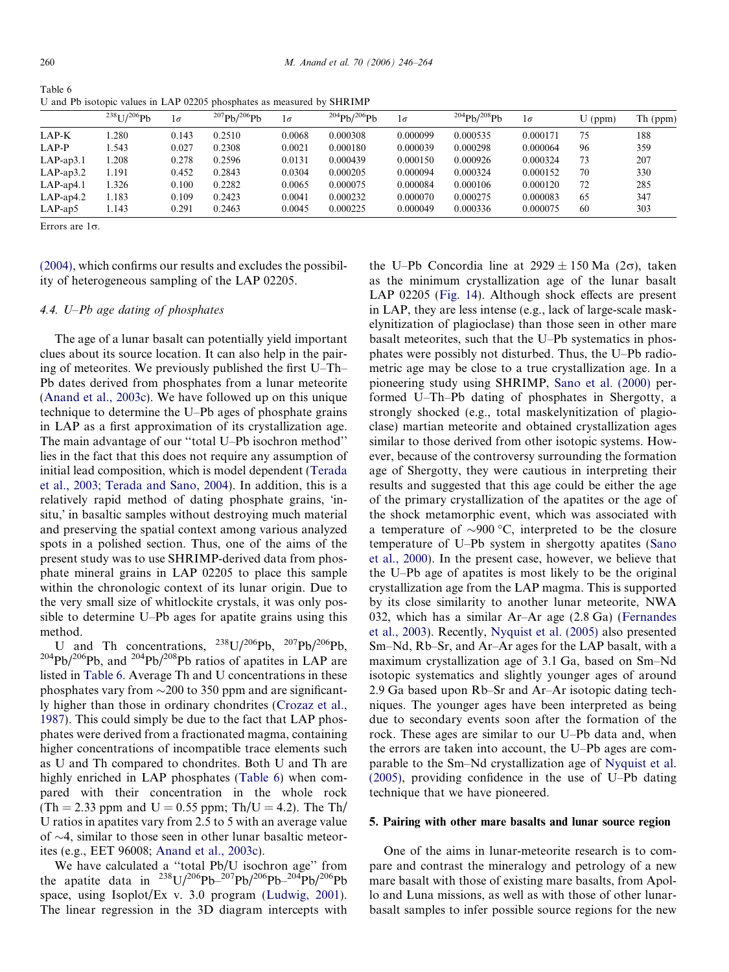| Table 6 |                                                                        |
|---------|------------------------------------------------------------------------|
|         | U and Pb isotopic values in LAP 02205 phosphates as measured by SHRIMP |

|                 | $^{238}$ U/ $^{206}$ Ph | $1\sigma$ | $^{207}Ph/^{206}Ph$ | $1\sigma$ | $^{204}Ph/^{206}Ph$ | $1\sigma$ | $^{204}Ph/^{208}Ph$ | $1\sigma$ | $U$ (ppm) | Th (ppm) |
|-----------------|-------------------------|-----------|---------------------|-----------|---------------------|-----------|---------------------|-----------|-----------|----------|
| LAP-K           | .280                    | 0.143     | 0.2510              | 0.0068    | 0.000308            | 0.000099  | 0.000535            | 0.000171  | 75        | 188      |
| LAP-P           | .543                    | 0.027     | 0.2308              | 0.0021    | 0.000180            | 0.000039  | 0.000298            | 0.000064  | 96        | 359      |
| $LAP$ -ap $3.1$ | .208                    | 0.278     | 0.2596              | 0.0131    | 0.000439            | 0.000150  | 0.000926            | 0.000324  | 73        | 207      |
| $LAP$ -ap3.2    | 1.191                   | 0.452     | 0.2843              | 0.0304    | 0.000205            | 0.000094  | 0.000324            | 0.000152  | 70        | 330      |
| $LAP$ -ap4.1    | 1.326                   | 0.100     | 0.2282              | 0.0065    | 0.000075            | 0.000084  | 0.000106            | 0.000120  | 72        | 285      |
| $LAP$ -ap4.2    | 1.183                   | 0.109     | 0.2423              | 0.0041    | 0.000232            | 0.000070  | 0.000275            | 0.000083  | 65        | 347      |
| $LAP$ -ap5      | l.143                   | 0.291     | 0.2463              | 0.0045    | 0.000225            | 0.000049  | 0.000336            | 0.000075  | 60        | 303      |

Errors are  $1\sigma$ .

[\(2004\)](#page-17-0), which confirms our results and excludes the possibility of heterogeneous sampling of the LAP 02205.

## 4.4. U–Pb age dating of phosphates

The age of a lunar basalt can potentially yield important clues about its source location. It can also help in the pairing of meteorites. We previously published the first U–Th– Pb dates derived from phosphates from a lunar meteorite [\(Anand et al., 2003c](#page-16-0)). We have followed up on this unique technique to determine the U–Pb ages of phosphate grains in LAP as a first approximation of its crystallization age. The main advantage of our ''total U–Pb isochron method'' lies in the fact that this does not require any assumption of initial lead composition, which is model dependent [\(Terada](#page-18-0) [et al., 2003; Terada and Sano, 2004\)](#page-18-0). In addition, this is a relatively rapid method of dating phosphate grains, insitu,' in basaltic samples without destroying much material and preserving the spatial context among various analyzed spots in a polished section. Thus, one of the aims of the present study was to use SHRIMP-derived data from phosphate mineral grains in LAP 02205 to place this sample within the chronologic context of its lunar origin. Due to the very small size of whitlockite crystals, it was only possible to determine U–Pb ages for apatite grains using this method.

U and Th concentrations,  $^{238}U/^{206}Pb$ ,  $^{207}Pb/^{206}Pb$ ,  $^{204}Pb/^{206}Pb$ , and  $^{204}Pb/^{208}Pb$  ratios of apatites in LAP are listed in Table 6. Average Th and U concentrations in these phosphates vary from  $\sim$ 200 to 350 ppm and are significantly higher than those in ordinary chondrites ([Crozaz et al.,](#page-17-0) [1987\)](#page-17-0). This could simply be due to the fact that LAP phosphates were derived from a fractionated magma, containing higher concentrations of incompatible trace elements such as U and Th compared to chondrites. Both U and Th are highly enriched in LAP phosphates (Table 6) when compared with their concentration in the whole rock  $(Th = 2.33$  ppm and  $U = 0.55$  ppm;  $Th/U = 4.2$ ). The Th/ U ratios in apatites vary from 2.5 to 5 with an average value of  $\sim$ 4, similar to those seen in other lunar basaltic meteorites (e.g., EET 96008; [Anand et al., 2003c\)](#page-16-0).

We have calculated a ''total Pb/U isochron age'' from the apatite data in  $^{238}$ U/<sup>206</sup>Pb<sup>-207</sup>Pb/<sup>206</sup>Pb<sup>-204</sup>Pb/<sup>206</sup>Pb space, using Isoplot/Ex v. 3.0 program [\(Ludwig, 2001\)](#page-17-0). The linear regression in the 3D diagram intercepts with the U–Pb Concordia line at  $2929 \pm 150$  Ma (2 $\sigma$ ), taken as the minimum crystallization age of the lunar basalt LAP 02205 ([Fig. 14](#page-15-0)). Although shock effects are present in LAP, they are less intense (e.g., lack of large-scale maskelynitization of plagioclase) than those seen in other mare basalt meteorites, such that the U–Pb systematics in phosphates were possibly not disturbed. Thus, the U–Pb radiometric age may be close to a true crystallization age. In a pioneering study using SHRIMP, [Sano et al. \(2000\)](#page-18-0) performed U–Th–Pb dating of phosphates in Shergotty, a strongly shocked (e.g., total maskelynitization of plagioclase) martian meteorite and obtained crystallization ages similar to those derived from other isotopic systems. However, because of the controversy surrounding the formation age of Shergotty, they were cautious in interpreting their results and suggested that this age could be either the age of the primary crystallization of the apatites or the age of the shock metamorphic event, which was associated with a temperature of  $\sim$ 900 °C, interpreted to be the closure temperature of U–Pb system in shergotty apatites [\(Sano](#page-18-0) [et al., 2000](#page-18-0)). In the present case, however, we believe that the U–Pb age of apatites is most likely to be the original crystallization age from the LAP magma. This is supported by its close similarity to another lunar meteorite, NWA 032, which has a similar Ar–Ar age (2.8 Ga) [\(Fernandes](#page-17-0) [et al., 2003\)](#page-17-0). Recently, [Nyquist et al. \(2005\)](#page-17-0) also presented Sm–Nd, Rb–Sr, and Ar–Ar ages for the LAP basalt, with a maximum crystallization age of 3.1 Ga, based on Sm–Nd isotopic systematics and slightly younger ages of around 2.9 Ga based upon Rb–Sr and Ar–Ar isotopic dating techniques. The younger ages have been interpreted as being due to secondary events soon after the formation of the rock. These ages are similar to our U–Pb data and, when the errors are taken into account, the U–Pb ages are comparable to the Sm–Nd crystallization age of [Nyquist et al.](#page-17-0) [\(2005\)](#page-17-0), providing confidence in the use of U–Pb dating technique that we have pioneered.

### 5. Pairing with other mare basalts and lunar source region

One of the aims in lunar-meteorite research is to compare and contrast the mineralogy and petrology of a new mare basalt with those of existing mare basalts, from Apollo and Luna missions, as well as with those of other lunarbasalt samples to infer possible source regions for the new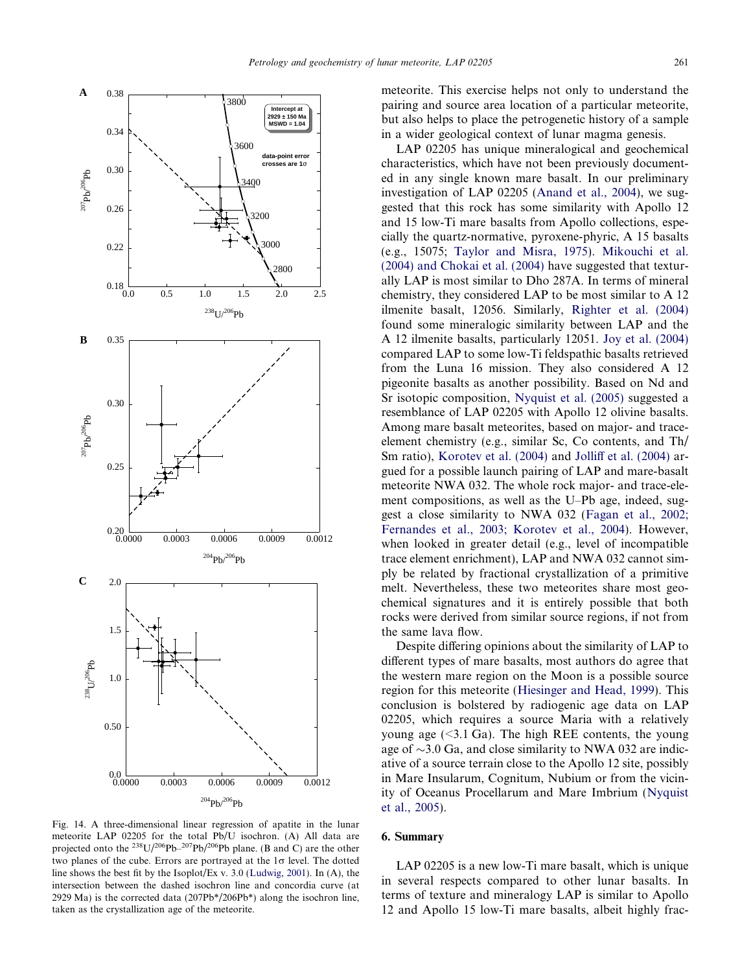<span id="page-15-0"></span>

Fig. 14. A three-dimensional linear regression of apatite in the lunar meteorite LAP 02205 for the total Pb/U isochron. (A) All data are projected onto the  $^{238}U/^{206}Pb^{-207}Pb/^{206}Pb$  plane. (B and C) are the other two planes of the cube. Errors are portrayed at the  $1\sigma$  level. The dotted line shows the best fit by the Isoplot/Ex v. 3.0 ([Ludwig, 2001](#page-17-0)). In (A), the intersection between the dashed isochron line and concordia curve (at 2929 Ma) is the corrected data (207Pb $\frac{*}{206}$ Pb $\frac{*}{2}$ ) along the isochron line, taken as the crystallization age of the meteorite.

meteorite. This exercise helps not only to understand the pairing and source area location of a particular meteorite, but also helps to place the petrogenetic history of a sample in a wider geological context of lunar magma genesis.

LAP 02205 has unique mineralogical and geochemical characteristics, which have not been previously documented in any single known mare basalt. In our preliminary investigation of LAP 02205 ([Anand et al., 2004\)](#page-16-0), we suggested that this rock has some similarity with Apollo 12 and 15 low-Ti mare basalts from Apollo collections, especially the quartz-normative, pyroxene-phyric, A 15 basalts (e.g., 15075; [Taylor and Misra, 1975](#page-18-0)). [Mikouchi et al.](#page-17-0) [\(2004\) and Chokai et al. \(2004\)](#page-17-0) have suggested that texturally LAP is most similar to Dho 287A. In terms of mineral chemistry, they considered LAP to be most similar to A 12 ilmenite basalt, 12056. Similarly, [Righter et al. \(2004\)](#page-18-0) found some mineralogic similarity between LAP and the A 12 ilmenite basalts, particularly 12051. [Joy et al. \(2004\)](#page-17-0) compared LAP to some low-Ti feldspathic basalts retrieved from the Luna 16 mission. They also considered A 12 pigeonite basalts as another possibility. Based on Nd and Sr isotopic composition, [Nyquist et al. \(2005\)](#page-17-0) suggested a resemblance of LAP 02205 with Apollo 12 olivine basalts. Among mare basalt meteorites, based on major- and traceelement chemistry (e.g., similar Sc, Co contents, and Th/ Sm ratio), [Korotev et al. \(2004\)](#page-17-0) and [Jolliff et al. \(2004\)](#page-17-0) argued for a possible launch pairing of LAP and mare-basalt meteorite NWA 032. The whole rock major- and trace-element compositions, as well as the U–Pb age, indeed, suggest a close similarity to NWA 032 [\(Fagan et al., 2002;](#page-17-0) [Fernandes et al., 2003; Korotev et al., 2004](#page-17-0)). However, when looked in greater detail (e.g., level of incompatible trace element enrichment), LAP and NWA 032 cannot simply be related by fractional crystallization of a primitive melt. Nevertheless, these two meteorites share most geochemical signatures and it is entirely possible that both rocks were derived from similar source regions, if not from the same lava flow.

Despite differing opinions about the similarity of LAP to different types of mare basalts, most authors do agree that the western mare region on the Moon is a possible source region for this meteorite ([Hiesinger and Head, 1999\)](#page-17-0). This conclusion is bolstered by radiogenic age data on LAP 02205, which requires a source Maria with a relatively young age  $(\leq 3.1 \text{ Ga})$ . The high REE contents, the young age of  $\sim$ 3.0 Ga, and close similarity to NWA 032 are indicative of a source terrain close to the Apollo 12 site, possibly in Mare Insularum, Cognitum, Nubium or from the vicinity of Oceanus Procellarum and Mare Imbrium [\(Nyquist](#page-17-0) [et al., 2005\)](#page-17-0).

# 6. Summary

LAP 02205 is a new low-Ti mare basalt, which is unique in several respects compared to other lunar basalts. In terms of texture and mineralogy LAP is similar to Apollo 12 and Apollo 15 low-Ti mare basalts, albeit highly frac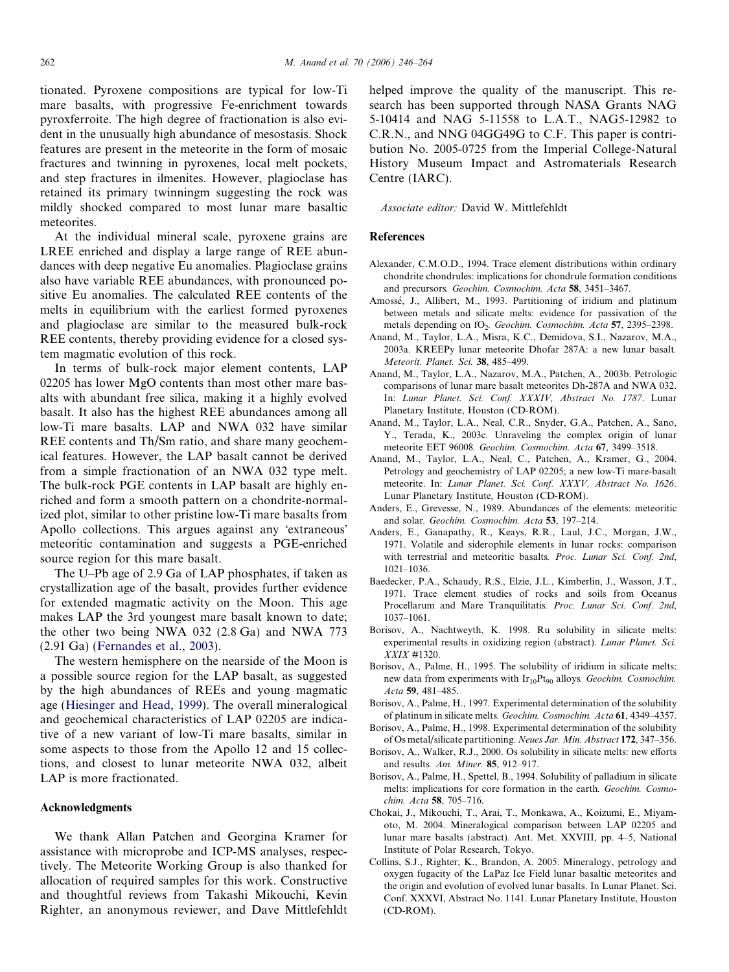<span id="page-16-0"></span>tionated. Pyroxene compositions are typical for low-Ti mare basalts, with progressive Fe-enrichment towards pyroxferroite. The high degree of fractionation is also evident in the unusually high abundance of mesostasis. Shock features are present in the meteorite in the form of mosaic fractures and twinning in pyroxenes, local melt pockets, and step fractures in ilmenites. However, plagioclase has retained its primary twinningm suggesting the rock was mildly shocked compared to most lunar mare basaltic meteorites.

At the individual mineral scale, pyroxene grains are LREE enriched and display a large range of REE abundances with deep negative Eu anomalies. Plagioclase grains also have variable REE abundances, with pronounced positive Eu anomalies. The calculated REE contents of the melts in equilibrium with the earliest formed pyroxenes and plagioclase are similar to the measured bulk-rock REE contents, thereby providing evidence for a closed system magmatic evolution of this rock.

In terms of bulk-rock major element contents, LAP 02205 has lower MgO contents than most other mare basalts with abundant free silica, making it a highly evolved basalt. It also has the highest REE abundances among all low-Ti mare basalts. LAP and NWA 032 have similar REE contents and Th/Sm ratio, and share many geochemical features. However, the LAP basalt cannot be derived from a simple fractionation of an NWA 032 type melt. The bulk-rock PGE contents in LAP basalt are highly enriched and form a smooth pattern on a chondrite-normalized plot, similar to other pristine low-Ti mare basalts from Apollo collections. This argues against any 'extraneous' meteoritic contamination and suggests a PGE-enriched source region for this mare basalt.

The U–Pb age of 2.9 Ga of LAP phosphates, if taken as crystallization age of the basalt, provides further evidence for extended magmatic activity on the Moon. This age makes LAP the 3rd youngest mare basalt known to date; the other two being NWA 032 (2.8 Ga) and NWA 773 (2.91 Ga) [\(Fernandes et al., 2003\)](#page-17-0).

The western hemisphere on the nearside of the Moon is a possible source region for the LAP basalt, as suggested by the high abundances of REEs and young magmatic age ([Hiesinger and Head, 1999](#page-17-0)). The overall mineralogical and geochemical characteristics of LAP 02205 are indicative of a new variant of low-Ti mare basalts, similar in some aspects to those from the Apollo 12 and 15 collections, and closest to lunar meteorite NWA 032, albeit LAP is more fractionated.

## Acknowledgments

We thank Allan Patchen and Georgina Kramer for assistance with microprobe and ICP-MS analyses, respectively. The Meteorite Working Group is also thanked for allocation of required samples for this work. Constructive and thoughtful reviews from Takashi Mikouchi, Kevin Righter, an anonymous reviewer, and Dave Mittlefehldt

helped improve the quality of the manuscript. This research has been supported through NASA Grants NAG 5-10414 and NAG 5-11558 to L.A.T., NAG5-12982 to C.R.N., and NNG 04GG49G to C.F. This paper is contribution No. 2005-0725 from the Imperial College-Natural History Museum Impact and Astromaterials Research Centre (IARC).

Associate editor: David W. Mittlefehldt

### References

- Alexander, C.M.O.D., 1994. Trace element distributions within ordinary chondrite chondrules: implications for chondrule formation conditions and precursors. Geochim. Cosmochim. Acta 58, 3451–3467.
- Amossé, J., Allibert, M., 1993. Partitioning of iridium and platinum between metals and silicate melts: evidence for passivation of the metals depending on fO<sub>2</sub>. Geochim. Cosmochim. Acta 57, 2395-2398.
- Anand, M., Taylor, L.A., Misra, K.C., Demidova, S.I., Nazarov, M.A., 2003a. KREEPy lunar meteorite Dhofar 287A: a new lunar basalt. Meteorit. Planet. Sci. 38, 485–499.
- Anand, M., Taylor, L.A., Nazarov, M.A., Patchen, A., 2003b. Petrologic comparisons of lunar mare basalt meteorites Dh-287A and NWA 032. In: Lunar Planet. Sci. Conf. XXXIV, Abstract No. 1787. Lunar Planetary Institute, Houston (CD-ROM).
- Anand, M., Taylor, L.A., Neal, C.R., Snyder, G.A., Patchen, A., Sano, Y., Terada, K., 2003c. Unraveling the complex origin of lunar meteorite EET 96008. Geochim. Cosmochim. Acta 67, 3499–3518.
- Anand, M., Taylor, L.A., Neal, C., Patchen, A., Kramer, G., 2004. Petrology and geochemistry of LAP 02205; a new low-Ti mare-basalt meteorite. In: Lunar Planet. Sci. Conf. XXXV, Abstract No. 1626. Lunar Planetary Institute, Houston (CD-ROM).
- Anders, E., Grevesse, N., 1989. Abundances of the elements: meteoritic and solar. Geochim. Cosmochim. Acta 53, 197–214.
- Anders, E., Ganapathy, R., Keays, R.R., Laul, J.C., Morgan, J.W., 1971. Volatile and siderophile elements in lunar rocks: comparison with terrestrial and meteoritic basalts. Proc. Lunar Sci. Conf. 2nd, 1021–1036.
- Baedecker, P.A., Schaudy, R.S., Elzie, J.L., Kimberlin, J., Wasson, J.T., 1971. Trace element studies of rocks and soils from Oceanus Procellarum and Mare Tranquilitatis. Proc. Lunar Sci. Conf. 2nd, 1037–1061.
- Borisov, A., Nachtweyth, K. 1998. Ru solubility in silicate melts: experimental results in oxidizing region (abstract). Lunar Planet. Sci. XXIX #1320.
- Borisov, A., Palme, H., 1995. The solubility of iridium in silicate melts: new data from experiments with  $Ir_{10}Pt_{90}$  alloys. Geochim. Cosmochim. Acta 59, 481–485.
- Borisov, A., Palme, H., 1997. Experimental determination of the solubility of platinum in silicate melts. Geochim. Cosmochim. Acta 61, 4349–4357.
- Borisov, A., Palme, H., 1998. Experimental determination of the solubility of Os metal/silicate partitioning. Neues Jar. Min. Abstract 172, 347–356.
- Borisov, A., Walker, R.J., 2000. Os solubility in silicate melts: new efforts and results. Am. Miner. 85, 912–917.
- Borisov, A., Palme, H., Spettel, B., 1994. Solubility of palladium in silicate melts: implications for core formation in the earth. Geochim. Cosmochim. Acta 58, 705–716.
- Chokai, J., Mikouchi, T., Arai, T., Monkawa, A., Koizumi, E., Miyamoto, M. 2004. Mineralogical comparison between LAP 02205 and lunar mare basalts (abstract). Ant. Met. XXVIII, pp. 4–5, National Institute of Polar Research, Tokyo.
- Collins, S.J., Righter, K., Brandon, A. 2005. Mineralogy, petrology and oxygen fugacity of the LaPaz Ice Field lunar basaltic meteorites and the origin and evolution of evolved lunar basalts. In Lunar Planet. Sci. Conf. XXXVI, Abstract No. 1141. Lunar Planetary Institute, Houston (CD-ROM).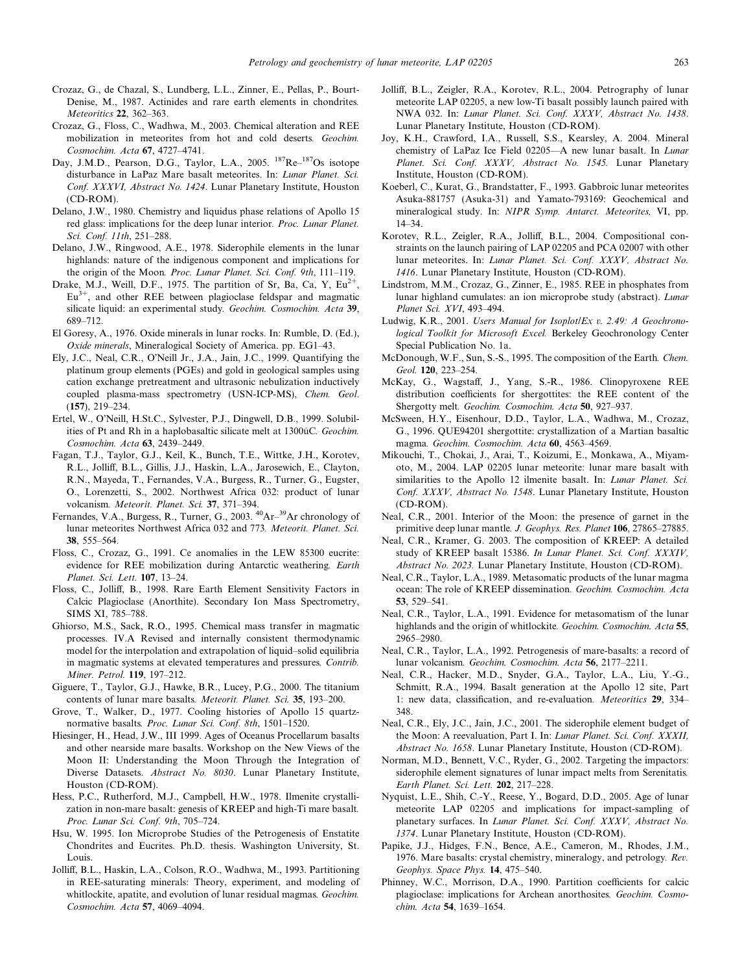- <span id="page-17-0"></span>Crozaz, G., de Chazal, S., Lundberg, L.L., Zinner, E., Pellas, P., Bourt-Denise, M., 1987. Actinides and rare earth elements in chondrites. Meteoritics 22, 362–363.
- Crozaz, G., Floss, C., Wadhwa, M., 2003. Chemical alteration and REE mobilization in meteorites from hot and cold deserts. Geochim. Cosmochim. Acta 67, 4727–4741.
- Day, J.M.D., Pearson, D.G., Taylor, L.A., 2005. <sup>187</sup>Re-<sup>187</sup>Os isotope disturbance in LaPaz Mare basalt meteorites. In: Lunar Planet. Sci. Conf. XXXVI, Abstract No. 1424. Lunar Planetary Institute, Houston (CD-ROM).
- Delano, J.W., 1980. Chemistry and liquidus phase relations of Apollo 15 red glass: implications for the deep lunar interior. Proc. Lunar Planet. Sci. Conf. 11th, 251–288.
- Delano, J.W., Ringwood, A.E., 1978. Siderophile elements in the lunar highlands: nature of the indigenous component and implications for the origin of the Moon. Proc. Lunar Planet. Sci. Conf. 9th, 111–119.
- Drake, M.J., Weill, D.F., 1975. The partition of Sr, Ba, Ca, Y,  $Eu^{2+}$  $Eu<sup>3+</sup>$ , and other REE between plagioclase feldspar and magmatic silicate liquid: an experimental study. Geochim. Cosmochim. Acta 39, 689–712.
- El Goresy, A., 1976. Oxide minerals in lunar rocks. In: Rumble, D. (Ed.), Oxide minerals, Mineralogical Society of America. pp. EG1–43.
- Ely, J.C., Neal, C.R., O'Neill Jr., J.A., Jain, J.C., 1999. Quantifying the platinum group elements (PGEs) and gold in geological samples using cation exchange pretreatment and ultrasonic nebulization inductively coupled plasma-mass spectrometry (USN-ICP-MS), Chem. Geol. (157), 219–234.
- Ertel, W., O'Neill, H.St.C., Sylvester, P.J., Dingwell, D.B., 1999. Solubilities of Pt and Rh in a haplobasaltic silicate melt at 1300ûC. Geochim. Cosmochim. Acta 63, 2439–2449.
- Fagan, T.J., Taylor, G.J., Keil, K., Bunch, T.E., Wittke, J.H., Korotev, R.L., Jolliff, B.L., Gillis, J.J., Haskin, L.A., Jarosewich, E., Clayton, R.N., Mayeda, T., Fernandes, V.A., Burgess, R., Turner, G., Eugster, O., Lorenzetti, S., 2002. Northwest Africa 032: product of lunar volcanism. Meteorit. Planet. Sci. 37, 371–394.
- Fernandes, V.A., Burgess, R., Turner, G., 2003. <sup>40</sup>Ar-<sup>39</sup>Ar chronology of lunar meteorites Northwest Africa 032 and 773. Meteorit. Planet. Sci. 38, 555–564.
- Floss, C., Crozaz, G., 1991. Ce anomalies in the LEW 85300 eucrite: evidence for REE mobilization during Antarctic weathering. Earth Planet. Sci. Lett. 107, 13–24.
- Floss, C., Jolliff, B., 1998. Rare Earth Element Sensitivity Factors in Calcic Plagioclase (Anorthite). Secondary Ion Mass Spectrometry, SIMS XI, 785–788.
- Ghiorso, M.S., Sack, R.O., 1995. Chemical mass transfer in magmatic processes. IV.A Revised and internally consistent thermodynamic model for the interpolation and extrapolation of liquid–solid equilibria in magmatic systems at elevated temperatures and pressures. Contrib. Miner. Petrol. 119, 197–212.
- Giguere, T., Taylor, G.J., Hawke, B.R., Lucey, P.G., 2000. The titanium contents of lunar mare basalts. Meteorit. Planet. Sci. 35, 193–200.
- Grove, T., Walker, D., 1977. Cooling histories of Apollo 15 quartznormative basalts. Proc. Lunar Sci. Conf. 8th, 1501–1520.
- Hiesinger, H., Head, J.W., III 1999. Ages of Oceanus Procellarum basalts and other nearside mare basalts. Workshop on the New Views of the Moon II: Understanding the Moon Through the Integration of Diverse Datasets. Abstract No. 8030. Lunar Planetary Institute, Houston (CD-ROM).
- Hess, P.C., Rutherford, M.J., Campbell, H.W., 1978. Ilmenite crystallization in non-mare basalt: genesis of KREEP and high-Ti mare basalt. Proc. Lunar Sci. Conf. 9th, 705–724.
- Hsu, W. 1995. Ion Microprobe Studies of the Petrogenesis of Enstatite Chondrites and Eucrites. Ph.D. thesis. Washington University, St. Louis.
- Jolliff, B.L., Haskin, L.A., Colson, R.O., Wadhwa, M., 1993. Partitioning in REE-saturating minerals: Theory, experiment, and modeling of whitlockite, apatite, and evolution of lunar residual magmas. Geochim. Cosmochim. Acta 57, 4069–4094.
- Jolliff, B.L., Zeigler, R.A., Korotev, R.L., 2004. Petrography of lunar meteorite LAP 02205, a new low-Ti basalt possibly launch paired with NWA 032. In: Lunar Planet. Sci. Conf. XXXV, Abstract No. 1438. Lunar Planetary Institute, Houston (CD-ROM).
- Joy, K.H., Crawford, I.A., Russell, S.S., Kearsley, A. 2004. Mineral chemistry of LaPaz Ice Field 02205—A new lunar basalt. In Lunar Planet. Sci. Conf. XXXV, Abstract No. 1545. Lunar Planetary Institute, Houston (CD-ROM).
- Koeberl, C., Kurat, G., Brandstatter, F., 1993. Gabbroic lunar meteorites Asuka-881757 (Asuka-31) and Yamato-793169: Geochemical and mineralogical study. In: NIPR Symp. Antarct. Meteorites, VI, pp. 14–34.
- Korotev, R.L., Zeigler, R.A., Jolliff, B.L., 2004. Compositional constraints on the launch pairing of LAP 02205 and PCA 02007 with other lunar meteorites. In: Lunar Planet. Sci. Conf. XXXV, Abstract No. 1416. Lunar Planetary Institute, Houston (CD-ROM).
- Lindstrom, M.M., Crozaz, G., Zinner, E., 1985. REE in phosphates from lunar highland cumulates: an ion microprobe study (abstract). Lunar Planet Sci. XVI, 493–494.
- Ludwig, K.R., 2001. Users Manual for Isoplot/Ex v. 2.49: A Geochronological Toolkit for Microsoft Excel. Berkeley Geochronology Center Special Publication No. 1a.
- McDonough, W.F., Sun, S.-S., 1995. The composition of the Earth. Chem. Geol. 120, 223–254.
- McKay, G., Wagstaff, J., Yang, S.-R., 1986. Clinopyroxene REE distribution coefficients for shergottites: the REE content of the Shergotty melt. Geochim. Cosmochim. Acta 50, 927–937.
- McSween, H.Y., Eisenhour, D.D., Taylor, L.A., Wadhwa, M., Crozaz, G., 1996. QUE94201 shergottite: crystallization of a Martian basaltic magma. Geochim. Cosmochim. Acta 60, 4563–4569.
- Mikouchi, T., Chokai, J., Arai, T., Koizumi, E., Monkawa, A., Miyamoto, M., 2004. LAP 02205 lunar meteorite: lunar mare basalt with similarities to the Apollo 12 ilmenite basalt. In: Lunar Planet. Sci. Conf. XXXV, Abstract No. 1548. Lunar Planetary Institute, Houston (CD-ROM).
- Neal, C.R., 2001. Interior of the Moon: the presence of garnet in the primitive deep lunar mantle. J. Geophys. Res. Planet 106, 27865–27885.
- Neal, C.R., Kramer, G. 2003. The composition of KREEP: A detailed study of KREEP basalt 15386. In Lunar Planet. Sci. Conf. XXXIV, Abstract No. 2023. Lunar Planetary Institute, Houston (CD-ROM).
- Neal, C.R., Taylor, L.A., 1989. Metasomatic products of the lunar magma ocean: The role of KREEP dissemination. Geochim. Cosmochim. Acta 53, 529–541.
- Neal, C.R., Taylor, L.A., 1991. Evidence for metasomatism of the lunar highlands and the origin of whitlockite. Geochim. Cosmochim. Acta 55, 2965–2980.
- Neal, C.R., Taylor, L.A., 1992. Petrogenesis of mare-basalts: a record of lunar volcanism. Geochim. Cosmochim. Acta 56, 2177–2211.
- Neal, C.R., Hacker, M.D., Snyder, G.A., Taylor, L.A., Liu, Y.-G., Schmitt, R.A., 1994. Basalt generation at the Apollo 12 site, Part 1: new data, classification, and re-evaluation. Meteoritics 29, 334– 348.
- Neal, C.R., Ely, J.C., Jain, J.C., 2001. The siderophile element budget of the Moon: A reevaluation, Part I. In: Lunar Planet. Sci. Conf. XXXII, Abstract No. 1658. Lunar Planetary Institute, Houston (CD-ROM).
- Norman, M.D., Bennett, V.C., Ryder, G., 2002. Targeting the impactors: siderophile element signatures of lunar impact melts from Serenitatis. Earth Planet. Sci. Lett. 202, 217–228.
- Nyquist, L.E., Shih, C.-Y., Reese, Y., Bogard, D.D., 2005. Age of lunar meteorite LAP 02205 and implications for impact-sampling of planetary surfaces. In Lunar Planet. Sci. Conf. XXXV, Abstract No. 1374. Lunar Planetary Institute, Houston (CD-ROM).
- Papike, J.J., Hidges, F.N., Bence, A.E., Cameron, M., Rhodes, J.M., 1976. Mare basalts: crystal chemistry, mineralogy, and petrology. Rev. Geophys. Space Phys. 14, 475–540.
- Phinney, W.C., Morrison, D.A., 1990. Partition coefficients for calcic plagioclase: implications for Archean anorthosites. Geochim. Cosmochim. Acta 54, 1639–1654.